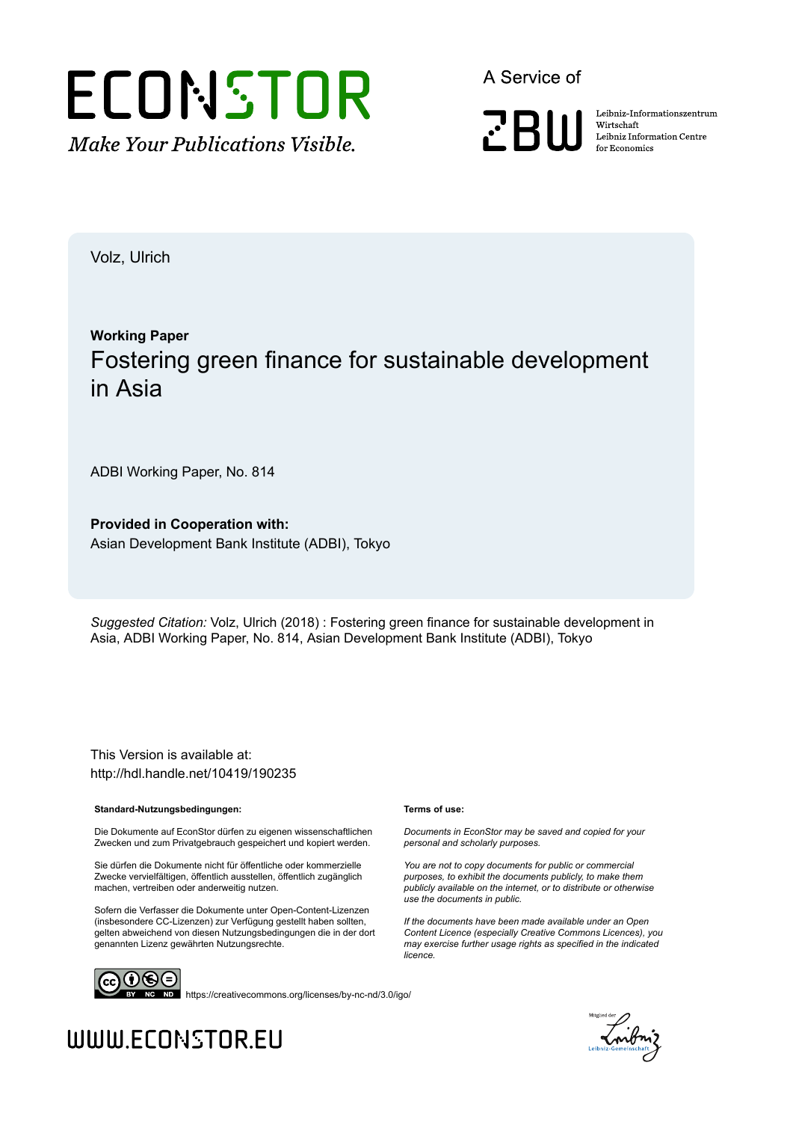

A Service of

**PRIII** 

Leibniz Informationszentrum Wirtschaft Leibniz Information Centre for Economics

Volz, Ulrich

## **Working Paper** Fostering green finance for sustainable development in Asia

ADBI Working Paper, No. 814

**Provided in Cooperation with:** Asian Development Bank Institute (ADBI), Tokyo

*Suggested Citation:* Volz, Ulrich (2018) : Fostering green finance for sustainable development in Asia, ADBI Working Paper, No. 814, Asian Development Bank Institute (ADBI), Tokyo

This Version is available at: http://hdl.handle.net/10419/190235

#### **Standard-Nutzungsbedingungen:**

Die Dokumente auf EconStor dürfen zu eigenen wissenschaftlichen Zwecken und zum Privatgebrauch gespeichert und kopiert werden.

Sie dürfen die Dokumente nicht für öffentliche oder kommerzielle Zwecke vervielfältigen, öffentlich ausstellen, öffentlich zugänglich machen, vertreiben oder anderweitig nutzen.

Sofern die Verfasser die Dokumente unter Open-Content-Lizenzen (insbesondere CC-Lizenzen) zur Verfügung gestellt haben sollten, gelten abweichend von diesen Nutzungsbedingungen die in der dort genannten Lizenz gewährten Nutzungsrechte.

#### **Terms of use:**

*Documents in EconStor may be saved and copied for your personal and scholarly purposes.*

*You are not to copy documents for public or commercial purposes, to exhibit the documents publicly, to make them publicly available on the internet, or to distribute or otherwise use the documents in public.*

*If the documents have been made available under an Open Content Licence (especially Creative Commons Licences), you may exercise further usage rights as specified in the indicated licence.*



https://creativecommons.org/licenses/by-nc-nd/3.0/igo/



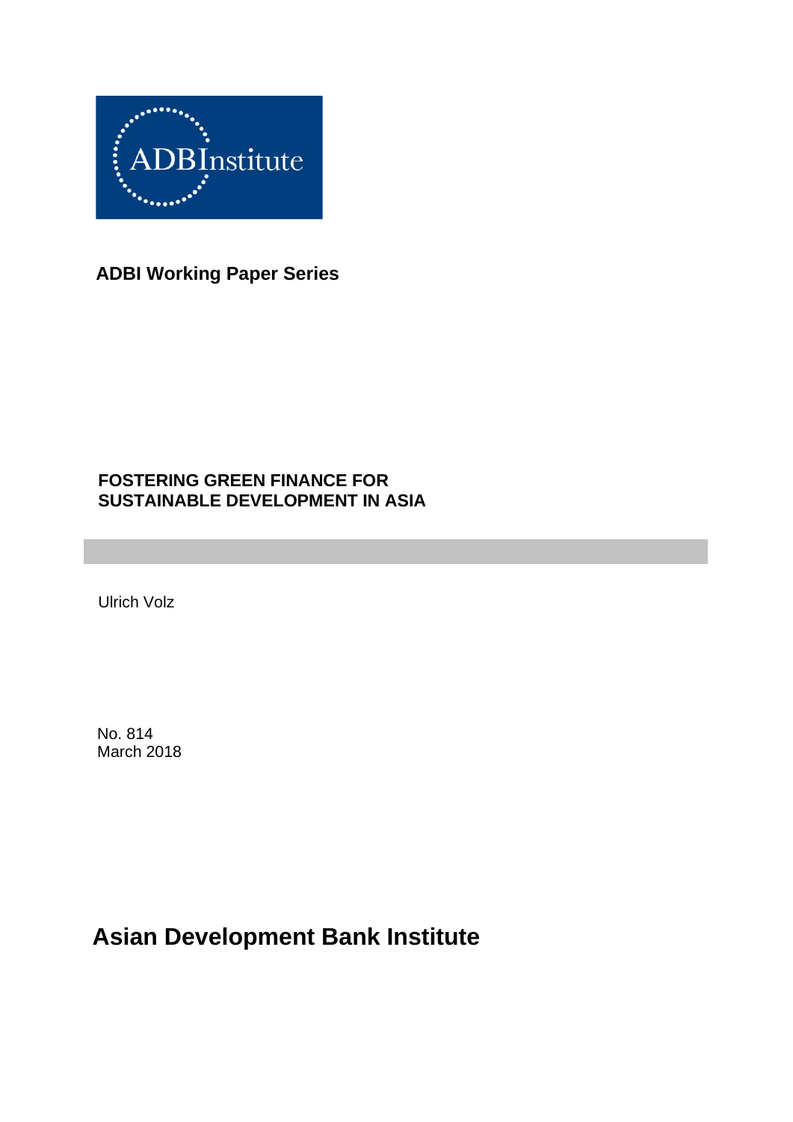

**ADBI Working Paper Series**

### **FOSTERING GREEN FINANCE FOR SUSTAINABLE DEVELOPMENT IN ASIA**

Ulrich Volz

No. 814 March 2018

# **Asian Development Bank Institute**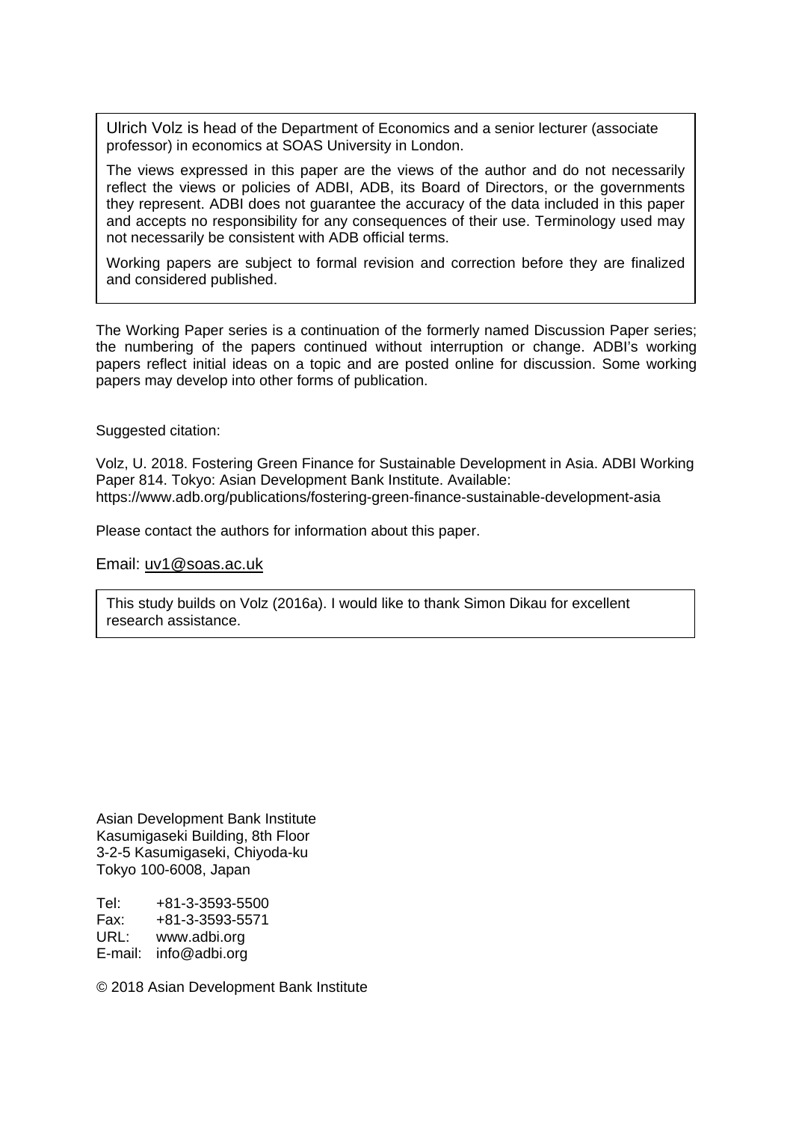Ulrich Volz is head of the Department of Economics and a senior lecturer (associate professor) in economics at SOAS University in London.

The views expressed in this paper are the views of the author and do not necessarily reflect the views or policies of ADBI, ADB, its Board of Directors, or the governments they represent. ADBI does not guarantee the accuracy of the data included in this paper and accepts no responsibility for any consequences of their use. Terminology used may not necessarily be consistent with ADB official terms.

Working papers are subject to formal revision and correction before they are finalized and considered published.

The Working Paper series is a continuation of the formerly named Discussion Paper series; the numbering of the papers continued without interruption or change. ADBI's working papers reflect initial ideas on a topic and are posted online for discussion. Some working papers may develop into other forms of publication.

Suggested citation:

Volz, U. 2018. Fostering Green Finance for Sustainable Development in Asia. ADBI Working Paper 814. Tokyo: Asian Development Bank Institute. Available: https://www.adb.org/publications/fostering-green-finance-sustainable-development-asia

Please contact the authors for information about this paper.

#### Email: [uv1@soas.ac.uk](mailto:uv1@soas.ac.uk)

This study builds on Volz (2016a). I would like to thank Simon Dikau for excellent research assistance.

Asian Development Bank Institute Kasumigaseki Building, 8th Floor 3-2-5 Kasumigaseki, Chiyoda-ku Tokyo 100-6008, Japan

Tel: +81-3-3593-5500 Fax: +81-3-3593-5571 URL: www.adbi.org E-mail: info@adbi.org

© 2018 Asian Development Bank Institute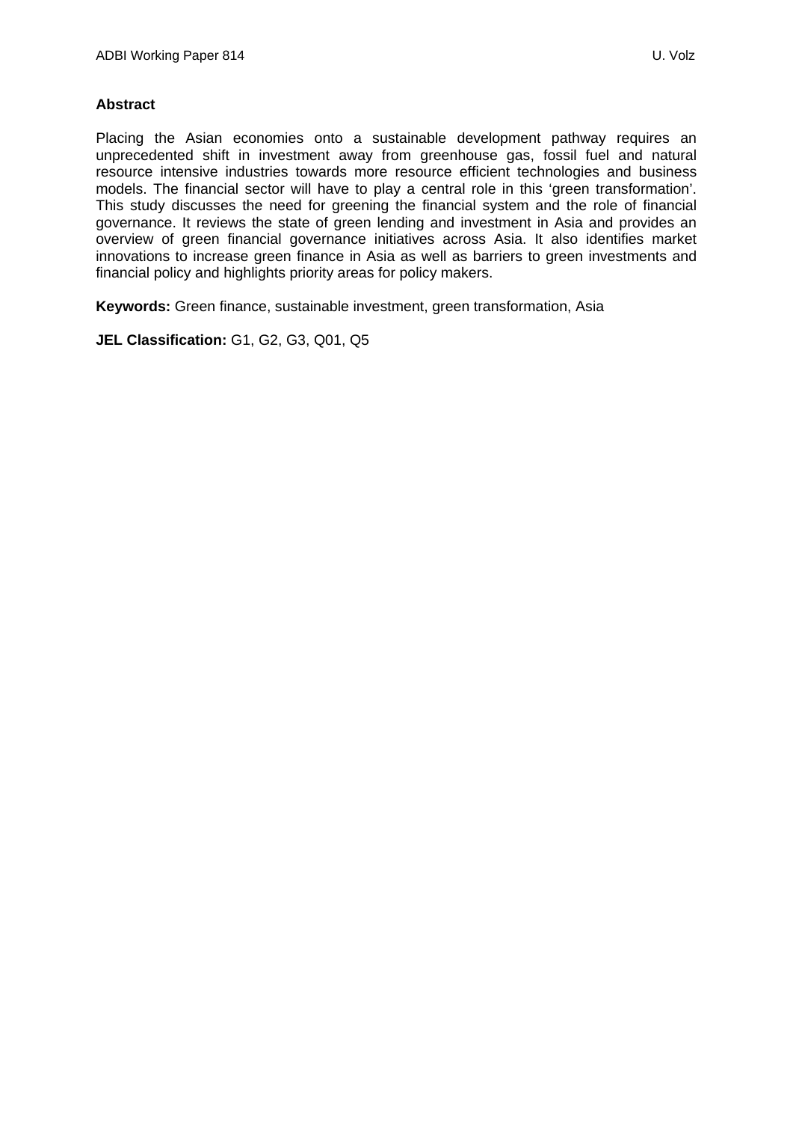#### **Abstract**

Placing the Asian economies onto a sustainable development pathway requires an unprecedented shift in investment away from greenhouse gas, fossil fuel and natural resource intensive industries towards more resource efficient technologies and business models. The financial sector will have to play a central role in this 'green transformation'. This study discusses the need for greening the financial system and the role of financial governance. It reviews the state of green lending and investment in Asia and provides an overview of green financial governance initiatives across Asia. It also identifies market innovations to increase green finance in Asia as well as barriers to green investments and financial policy and highlights priority areas for policy makers.

**Keywords:** Green finance, sustainable investment, green transformation, Asia

**JEL Classification:** G1, G2, G3, Q01, Q5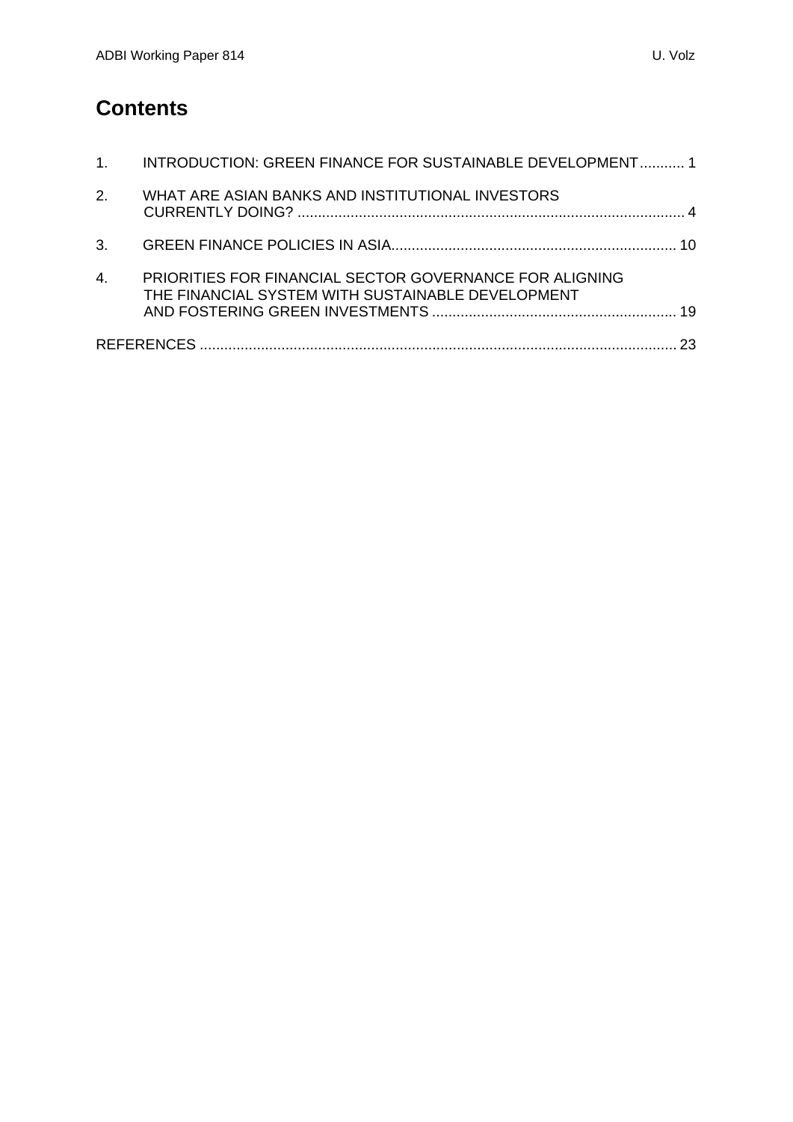### **Contents**

|                | 1. INTRODUCTION: GREEN FINANCE FOR SUSTAINABLE DEVELOPMENT 1                                                 |  |
|----------------|--------------------------------------------------------------------------------------------------------------|--|
| 2.             | WHAT ARE ASIAN BANKS AND INSTITUTIONAL INVESTORS                                                             |  |
| 3 <sub>1</sub> |                                                                                                              |  |
| 4.             | PRIORITIES FOR FINANCIAL SECTOR GOVERNANCE FOR ALIGNING<br>THE FINANCIAL SYSTEM WITH SUSTAINABLE DEVELOPMENT |  |
|                |                                                                                                              |  |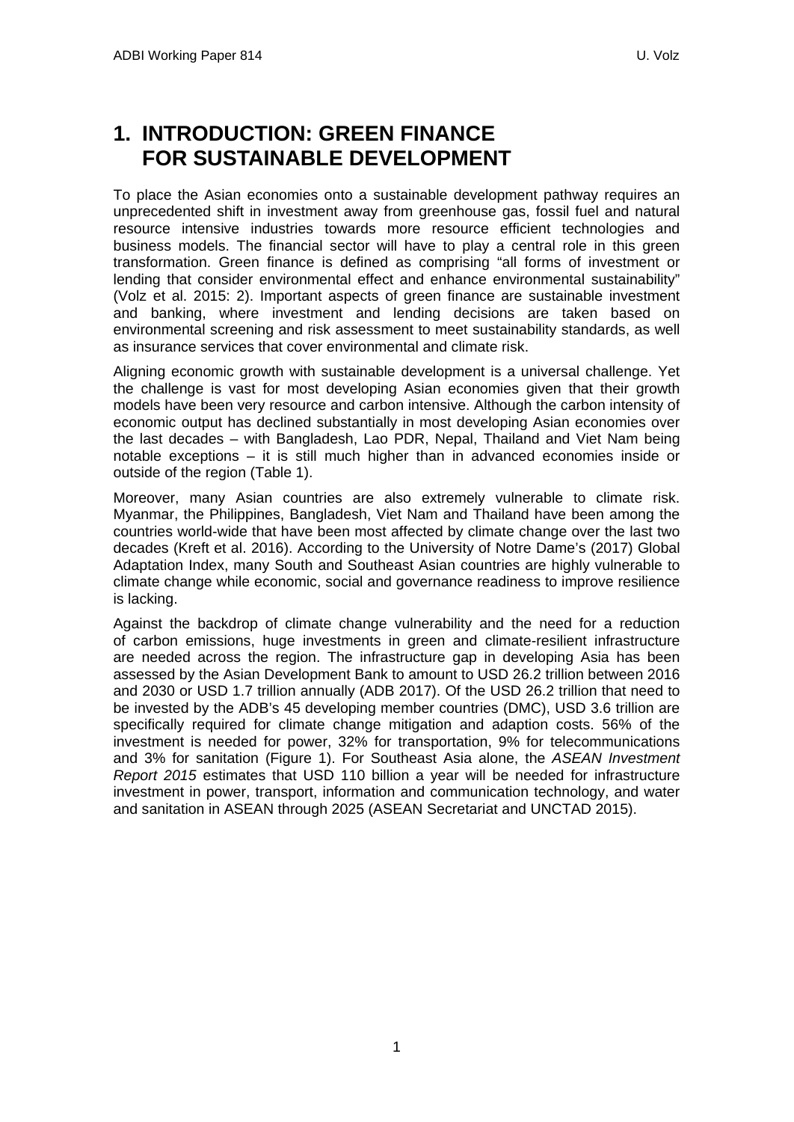### <span id="page-5-0"></span>**1. INTRODUCTION: GREEN FINANCE FOR SUSTAINABLE DEVELOPMENT**

To place the Asian economies onto a sustainable development pathway requires an unprecedented shift in investment away from greenhouse gas, fossil fuel and natural resource intensive industries towards more resource efficient technologies and business models. The financial sector will have to play a central role in this green transformation. Green finance is defined as comprising "all forms of investment or lending that consider environmental effect and enhance environmental sustainability" (Volz et al. 2015: 2). Important aspects of green finance are sustainable investment and banking, where investment and lending decisions are taken based on environmental screening and risk assessment to meet sustainability standards, as well as insurance services that cover environmental and climate risk.

Aligning economic growth with sustainable development is a universal challenge. Yet the challenge is vast for most developing Asian economies given that their growth models have been very resource and carbon intensive. Although the carbon intensity of economic output has declined substantially in most developing Asian economies over the last decades – with Bangladesh, Lao PDR, Nepal, Thailand and Viet Nam being notable exceptions – it is still much higher than in advanced economies inside or outside of the region (Table 1).

Moreover, many Asian countries are also extremely vulnerable to climate risk. Myanmar, the Philippines, Bangladesh, Viet Nam and Thailand have been among the countries world-wide that have been most affected by climate change over the last two decades (Kreft et al. 2016). According to the University of Notre Dame's (2017) Global Adaptation Index, many South and Southeast Asian countries are highly vulnerable to climate change while economic, social and governance readiness to improve resilience is lacking.

Against the backdrop of climate change vulnerability and the need for a reduction of carbon emissions, huge investments in green and climate-resilient infrastructure are needed across the region. The infrastructure gap in developing Asia has been assessed by the Asian Development Bank to amount to USD 26.2 trillion between 2016 and 2030 or USD 1.7 trillion annually (ADB 2017). Of the USD 26.2 trillion that need to be invested by the ADB's 45 developing member countries (DMC), USD 3.6 trillion are specifically required for climate change mitigation and adaption costs. 56% of the investment is needed for power, 32% for transportation, 9% for telecommunications and 3% for sanitation (Figure 1). For Southeast Asia alone, the *ASEAN Investment Report 2015* estimates that USD 110 billion a year will be needed for infrastructure investment in power, transport, information and communication technology, and water and sanitation in ASEAN through 2025 (ASEAN Secretariat and UNCTAD 2015).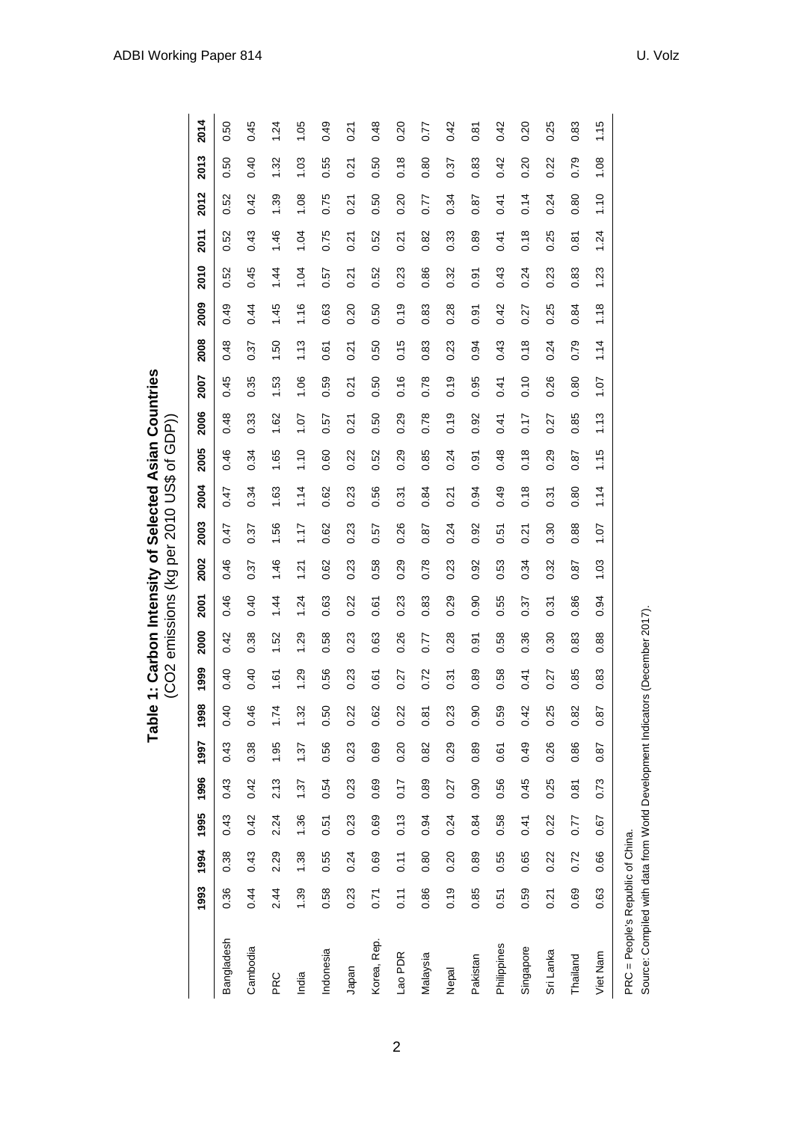|             |      |      |      |      |      |      | しりし  |      | DD_DS_CION_ON_D |      |      | רבום את האי האי הארים או הארים או הארים האי הארים האי הארים האי הארים הארים הארים הארים הארים הארים הארים הא |      |      |      |      |      |      |      |      |      |      |
|-------------|------|------|------|------|------|------|------|------|-----------------|------|------|--------------------------------------------------------------------------------------------------------------|------|------|------|------|------|------|------|------|------|------|
|             | 1993 | 1994 | 1995 | 1996 | 1997 | 1998 | 1999 | 2000 | 2001            | 2002 | 2003 | 2004                                                                                                         | 2005 | 2006 | 2007 | 2008 | 2009 | 2010 | 2011 | 2012 | 2013 | 2014 |
| Bangladesh  | 0.36 | 0.38 | 0.43 | 0.43 | 0.43 | 0.40 | 0.40 | 0.42 | 0.46            | 0.46 | 0.47 | 0.47                                                                                                         | 0.46 | 0.48 | 0.45 | 0.48 | 0.49 | 0.52 | 0.52 | 0.52 | 0.50 | 0.50 |
| Cambodia    | 0.44 | 0.43 | 0.42 | 0.42 | 0.38 | 0.46 | 0.40 | 0.38 | 0.40            | 0.37 | 0.37 | 0.34                                                                                                         | 0.34 | 0.33 | 0.35 | 0.37 | 0.44 | 0.45 | 0.43 | 0.42 | 0.40 | 0.45 |
| PRC         | 2.44 | 2.29 | 2.24 | 2.13 | 1.95 | 1.74 | 1.61 | 1.52 | 1.44            | 1.46 | 1.56 | 1.63                                                                                                         | 1.65 | 1.62 | 1.53 | 1.50 | 1.45 | 1.44 | 1.46 | 1.39 | 1.32 | 1.24 |
| India       | 1.39 | 1.38 | 1.36 | 1.37 | 1.37 | 1.32 | 1.29 | 1.29 | 1.24            | 1.21 | 1.17 | 1.14                                                                                                         | 1.10 | 1.07 | 1.06 | 1.13 | 1.16 | 1.04 | 1.04 | 1.08 | 1.03 | 1.05 |
| Indonesia   | 0.58 | 0.55 | 0.51 | 0.54 | 0.56 | 0.50 | 0.56 | 0.58 | 0.63            | 0.62 | 0.62 | 0.62                                                                                                         | 0.60 | 0.57 | 0.59 | 0.61 | 0.63 | 0.57 | 0.75 | 0.75 | 0.55 | 0.49 |
| Japan       | 0.23 | 0.24 | 0.23 | 0.23 | 0.23 | 0.22 | 0.23 | 0.23 | 0.22            | 0.23 | 0.23 | 0.23                                                                                                         | 0.22 | 0.21 | 0.21 | 0.21 | 0.20 | 0.21 | 0.21 | 0.21 | 0.21 | 0.21 |
| Korea, Rep. | 0.71 | 0.69 | 0.69 | 0.69 | 0.69 | 0.62 | 0.61 | 0.63 | 0.61            | 0.58 | 0.57 | 0.56                                                                                                         | 0.52 | 0.50 | 0.50 | 0.50 | 0.50 | 0.52 | 0.52 | 0.50 | 0.50 | 0.48 |
| Lao PDR     | 0.11 | 0.11 | 0.13 | 0.17 | 0.20 | 0.22 | 0.27 | 0.26 | 0.23            | 0.29 | 0.26 | 0.31                                                                                                         | 0.29 | 0.29 | 0.16 | 0.15 | 0.19 | 0.23 | 0.21 | 0.20 | 0.18 | 0.20 |
| Malaysia    | 0.86 | 0.80 | 0.94 | 0.89 | 0.82 | 0.81 | 0.72 | 0.77 | 0.83            | 0.78 | 0.87 | 0.84                                                                                                         | 0.85 | 0.78 | 0.78 | 0.83 | 0.83 | 0.86 | 0.82 | 0.77 | 0.80 | 77   |
| Nepal       | 0.19 | 0.20 | 0.24 | 0.27 | 0.29 | 0.23 | 0.31 | 0.28 | 0.29            | 0.23 | 0.24 | 0.21                                                                                                         | 0.24 | 0.19 | 0.19 | 0.23 | 0.28 | 0.32 | 0.33 | 0.34 | 0.37 | 0.42 |
| Pakistan    | 0.85 | 0.89 | 0.84 | 0.90 | 0.89 | 0.90 | 0.89 | 0.91 | 0.90            | 0.92 | 0.92 | 0.94                                                                                                         | 0.91 | 0.92 | 0.95 | 0.94 | 0.91 | 0.91 | 0.89 | 0.87 | 0.83 | 0.81 |
| Philippines | 0.51 | 0.55 | 0.58 | 0.56 | 0.61 | 0.59 | 0.58 | 0.58 | 0.55            | 0.53 | 0.51 | 0.49                                                                                                         | 0.48 | 0.41 | 0.41 | 0.43 | 0.42 | 0.43 | 0.41 | 0.41 | 0.42 | 0.42 |
| Singapore   | 0.59 | 0.65 | 0.41 | 0.45 | 0.49 | 0.42 | 0.41 | 0.36 | 0.37            | 0.34 | 0.21 | 0.18                                                                                                         | 0.18 | 0.17 | 0.10 | 0.18 | 0.27 | 0.24 | 0.18 | 0.14 | 0.20 | 0.20 |
| Sri Lanka   | 0.21 | 0.22 | 0.22 | 0.25 | 0.26 | 0.25 | 0.27 | 0.30 | 0.31            | 0.32 | 0.30 | 0.31                                                                                                         | 0.29 | 0.27 | 0.26 | 0.24 | 0.25 | 0.23 | 0.25 | 0.24 | 0.22 | 0.25 |
| Thailand    | 0.69 | 0.72 | 0.77 | 0.81 | 0.86 | 0.82 | 0.85 | 0.83 | 0.86            | 0.87 | 0.88 | 0.80                                                                                                         | 0.87 | 0.85 | 0.80 | 0.79 | 0.84 | 0.83 | 0.81 | 0.80 | 0.79 | 0.83 |

**Table 1: Carbon Intensity of Selected Asian Countries**  Table 1: Carbon Intensity of Selected Asian Countries<br>(CO2 emissions (kg per 2010 LIS\$ of GDP)) (CO2 emissions (kg per 2010 US\$ of GDP))

> PRC = People's Republic of China. PRC = People's Republic of China.

Source: Compiled with data from World Development Indicators (December 2017). Source: Compiled with data from World Development Indicators (December 2017).

1.15

1.08

1.10

1.24

1.23

1.18

1.14

1.07

1.13

1.15

1.14

1.07

1.03

0.94

0.88

0.83

0.87

0.87

0.73

0.67

0.66

0.63

Viet Nam

Viet Nam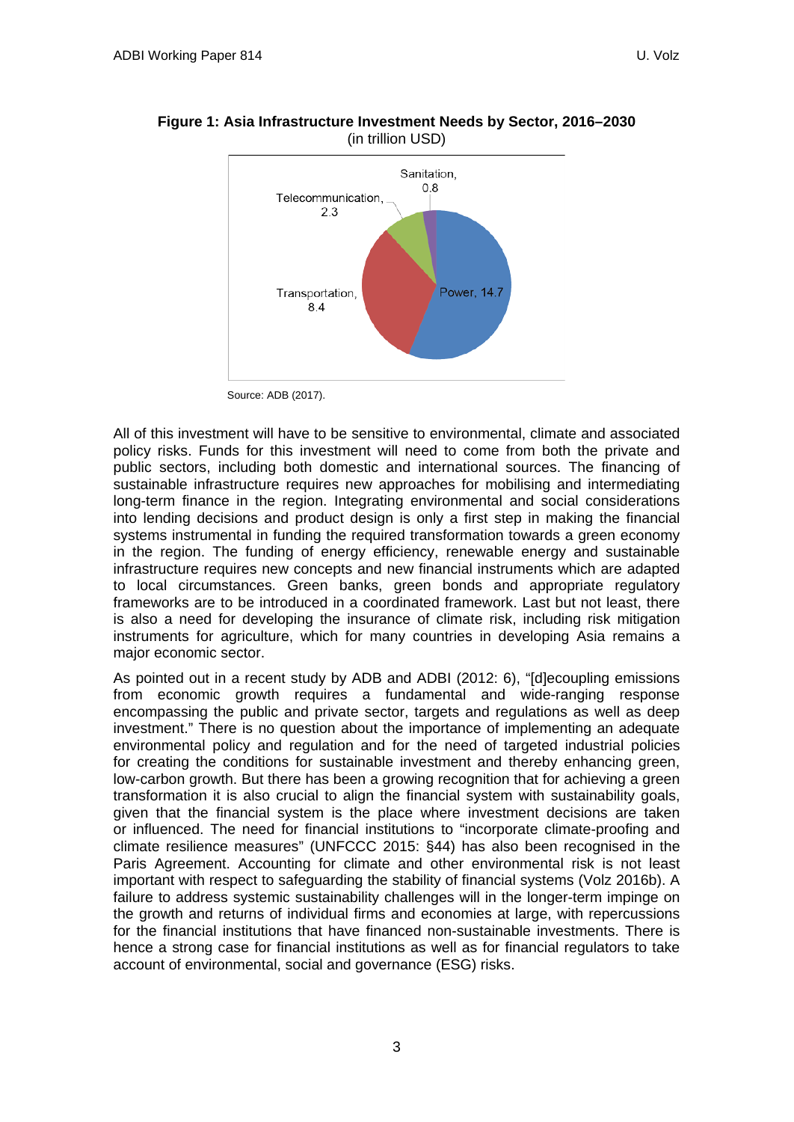

**Figure 1: Asia Infrastructure Investment Needs by Sector, 2016–2030**  (in trillion USD)

All of this investment will have to be sensitive to environmental, climate and associated policy risks. Funds for this investment will need to come from both the private and public sectors, including both domestic and international sources. The financing of sustainable infrastructure requires new approaches for mobilising and intermediating long-term finance in the region. Integrating environmental and social considerations into lending decisions and product design is only a first step in making the financial systems instrumental in funding the required transformation towards a green economy in the region. The funding of energy efficiency, renewable energy and sustainable infrastructure requires new concepts and new financial instruments which are adapted to local circumstances. Green banks, green bonds and appropriate regulatory frameworks are to be introduced in a coordinated framework. Last but not least, there is also a need for developing the insurance of climate risk, including risk mitigation instruments for agriculture, which for many countries in developing Asia remains a major economic sector.

As pointed out in a recent study by ADB and ADBI (2012: 6), "[d]ecoupling emissions from economic growth requires a fundamental and wide-ranging response encompassing the public and private sector, targets and regulations as well as deep investment." There is no question about the importance of implementing an adequate environmental policy and regulation and for the need of targeted industrial policies for creating the conditions for sustainable investment and thereby enhancing green, low-carbon growth. But there has been a growing recognition that for achieving a green transformation it is also crucial to align the financial system with sustainability goals, given that the financial system is the place where investment decisions are taken or influenced. The need for financial institutions to "incorporate climate-proofing and climate resilience measures" (UNFCCC 2015: §44) has also been recognised in the Paris Agreement. Accounting for climate and other environmental risk is not least important with respect to safeguarding the stability of financial systems (Volz 2016b). A failure to address systemic sustainability challenges will in the longer-term impinge on the growth and returns of individual firms and economies at large, with repercussions for the financial institutions that have financed non-sustainable investments. There is hence a strong case for financial institutions as well as for financial regulators to take account of environmental, social and governance (ESG) risks.

Source: ADB (2017).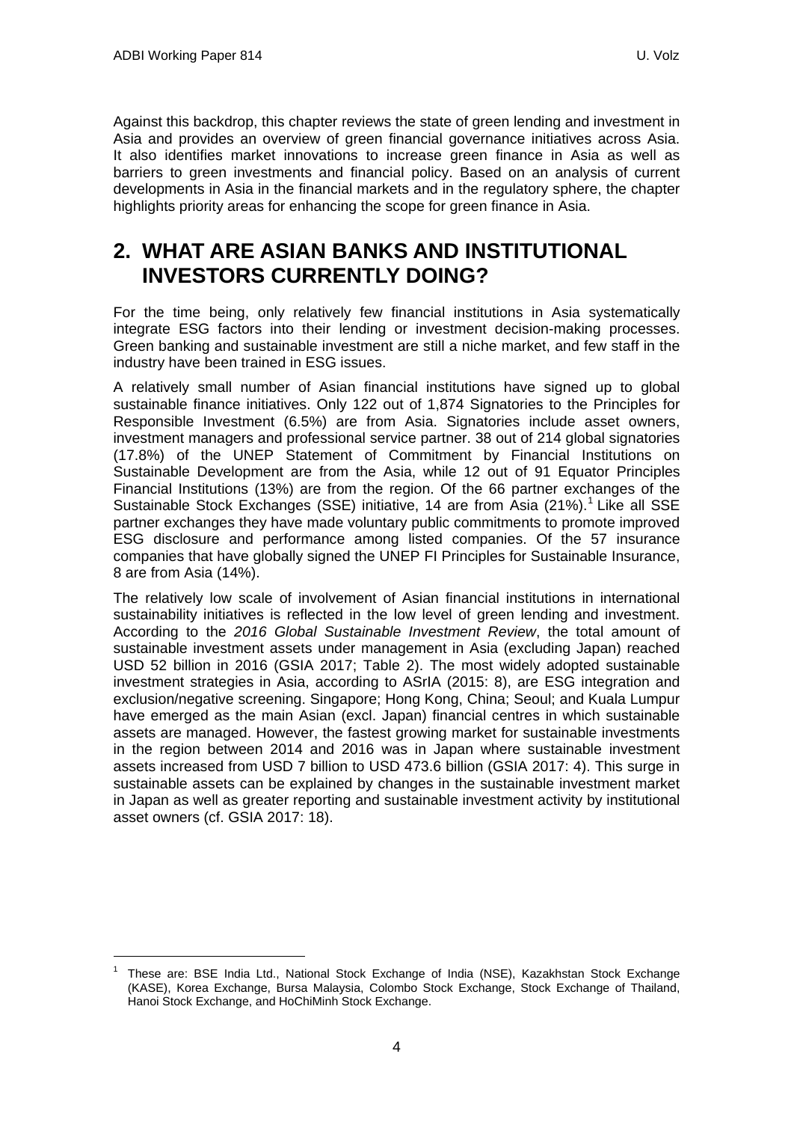Against this backdrop, this chapter reviews the state of green lending and investment in Asia and provides an overview of green financial governance initiatives across Asia. It also identifies market innovations to increase green finance in Asia as well as barriers to green investments and financial policy. Based on an analysis of current developments in Asia in the financial markets and in the regulatory sphere, the chapter highlights priority areas for enhancing the scope for green finance in Asia.

### <span id="page-8-0"></span>**2. WHAT ARE ASIAN BANKS AND INSTITUTIONAL INVESTORS CURRENTLY DOING?**

For the time being, only relatively few financial institutions in Asia systematically integrate ESG factors into their lending or investment decision-making processes. Green banking and sustainable investment are still a niche market, and few staff in the industry have been trained in ESG issues.

A relatively small number of Asian financial institutions have signed up to global sustainable finance initiatives. Only 122 out of 1,874 Signatories to the Principles for Responsible Investment (6.5%) are from Asia. Signatories include asset owners, investment managers and professional service partner. 38 out of 214 global signatories (17.8%) of the UNEP Statement of Commitment by Financial Institutions on Sustainable Development are from the Asia, while 12 out of 91 Equator Principles Financial Institutions (13%) are from the region. Of the 66 partner exchanges of the Sustainable Stock Exchanges (SSE) initiative, [1](#page-8-1)4 are from Asia (21%).<sup>1</sup> Like all SSE partner exchanges they have made voluntary public commitments to promote improved ESG disclosure and performance among listed companies. Of the 57 insurance companies that have globally signed the UNEP FI Principles for Sustainable Insurance, 8 are from Asia (14%).

The relatively low scale of involvement of Asian financial institutions in international sustainability initiatives is reflected in the low level of green lending and investment. According to the *2016 Global Sustainable Investment Review*, the total amount of sustainable investment assets under management in Asia (excluding Japan) reached USD 52 billion in 2016 (GSIA 2017; Table 2). The most widely adopted sustainable investment strategies in Asia, according to ASrIA (2015: 8), are ESG integration and exclusion/negative screening. Singapore; Hong Kong, China; Seoul; and Kuala Lumpur have emerged as the main Asian (excl. Japan) financial centres in which sustainable assets are managed. However, the fastest growing market for sustainable investments in the region between 2014 and 2016 was in Japan where sustainable investment assets increased from USD 7 billion to USD 473.6 billion (GSIA 2017: 4). This surge in sustainable assets can be explained by changes in the sustainable investment market in Japan as well as greater reporting and sustainable investment activity by institutional asset owners (cf. GSIA 2017: 18).

<span id="page-8-1"></span> <sup>1</sup> These are: BSE India Ltd., National Stock Exchange of India (NSE), Kazakhstan Stock Exchange (KASE), Korea Exchange, Bursa Malaysia, Colombo Stock Exchange, Stock Exchange of Thailand, Hanoi Stock Exchange, and HoChiMinh Stock Exchange.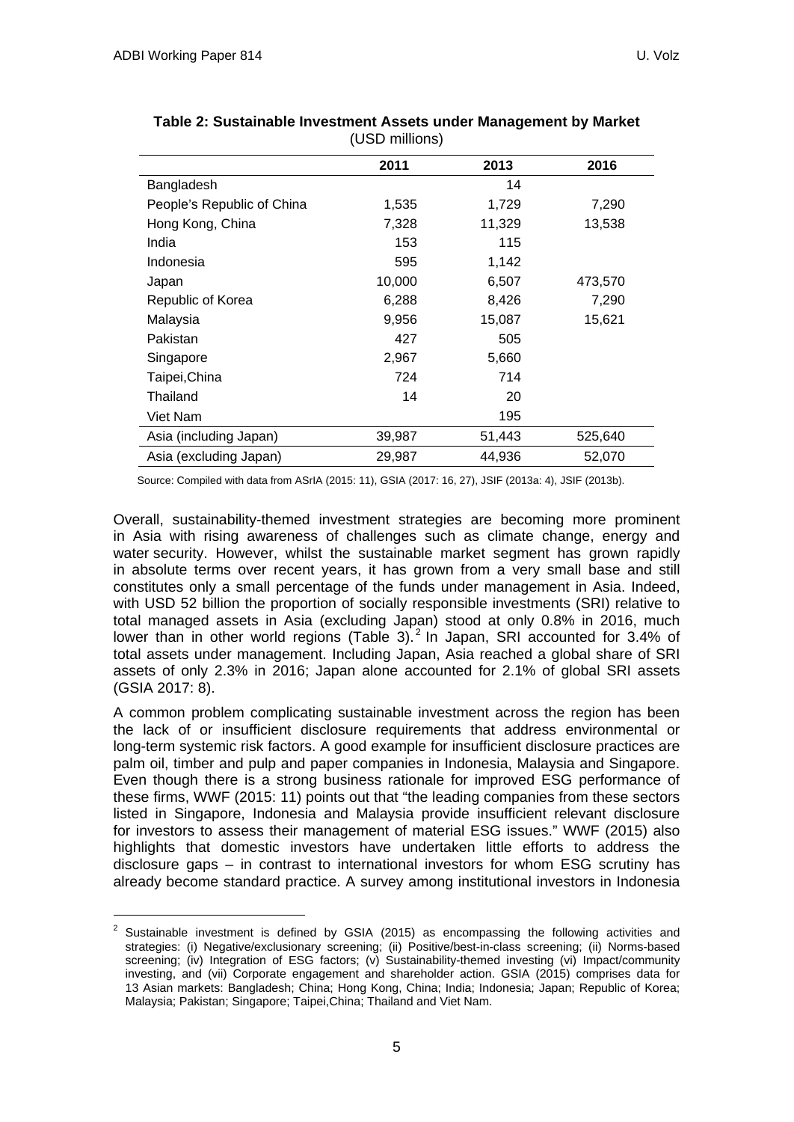|                            | 2011   | 2013   | 2016    |
|----------------------------|--------|--------|---------|
| Bangladesh                 |        | 14     |         |
| People's Republic of China | 1,535  | 1,729  | 7,290   |
| Hong Kong, China           | 7,328  | 11,329 | 13,538  |
| India                      | 153    | 115    |         |
| Indonesia                  | 595    | 1,142  |         |
| Japan                      | 10,000 | 6,507  | 473,570 |
| Republic of Korea          | 6,288  | 8,426  | 7,290   |
| Malaysia                   | 9,956  | 15,087 | 15,621  |
| Pakistan                   | 427    | 505    |         |
| Singapore                  | 2,967  | 5,660  |         |
| Taipei, China              | 724    | 714    |         |
| Thailand                   | 14     | 20     |         |
| Viet Nam                   |        | 195    |         |
| Asia (including Japan)     | 39,987 | 51,443 | 525,640 |
| Asia (excluding Japan)     | 29,987 | 44,936 | 52,070  |

**Table 2: Sustainable Investment Assets under Management by Market**  (USD millions)

Source: Compiled with data from ASrIA (2015: 11), GSIA (2017: 16, 27), JSIF (2013a: 4), JSIF (2013b).

Overall, sustainability-themed investment strategies are becoming more prominent in Asia with rising awareness of challenges such as climate change, energy and water security. However, whilst the sustainable market segment has grown rapidly in absolute terms over recent years, it has grown from a very small base and still constitutes only a small percentage of the funds under management in Asia. Indeed, with USD 52 billion the proportion of socially responsible investments (SRI) relative to total managed assets in Asia (excluding Japan) stood at only 0.8% in 2016, much lower than in other world regions (Table 3).<sup>[2](#page-9-0)</sup> In Japan, SRI accounted for 3.4% of total assets under management. Including Japan, Asia reached a global share of SRI assets of only 2.3% in 2016; Japan alone accounted for 2.1% of global SRI assets (GSIA 2017: 8).

A common problem complicating sustainable investment across the region has been the lack of or insufficient disclosure requirements that address environmental or long-term systemic risk factors. A good example for insufficient disclosure practices are palm oil, timber and pulp and paper companies in Indonesia, Malaysia and Singapore. Even though there is a strong business rationale for improved ESG performance of these firms, WWF (2015: 11) points out that "the leading companies from these sectors listed in Singapore, Indonesia and Malaysia provide insufficient relevant disclosure for investors to assess their management of material ESG issues." WWF (2015) also highlights that domestic investors have undertaken little efforts to address the disclosure gaps – in contrast to international investors for whom ESG scrutiny has already become standard practice. A survey among institutional investors in Indonesia

<span id="page-9-0"></span> $2$  Sustainable investment is defined by GSIA (2015) as encompassing the following activities and strategies: (i) Negative/exclusionary screening; (ii) Positive/best-in-class screening; (ii) Norms-based screening; (iv) Integration of ESG factors; (v) Sustainability-themed investing (vi) Impact/community investing, and (vii) Corporate engagement and shareholder action. GSIA (2015) comprises data for 13 Asian markets: Bangladesh; China; Hong Kong, China; India; Indonesia; Japan; Republic of Korea; Malaysia; Pakistan; Singapore; Taipei,China; Thailand and Viet Nam.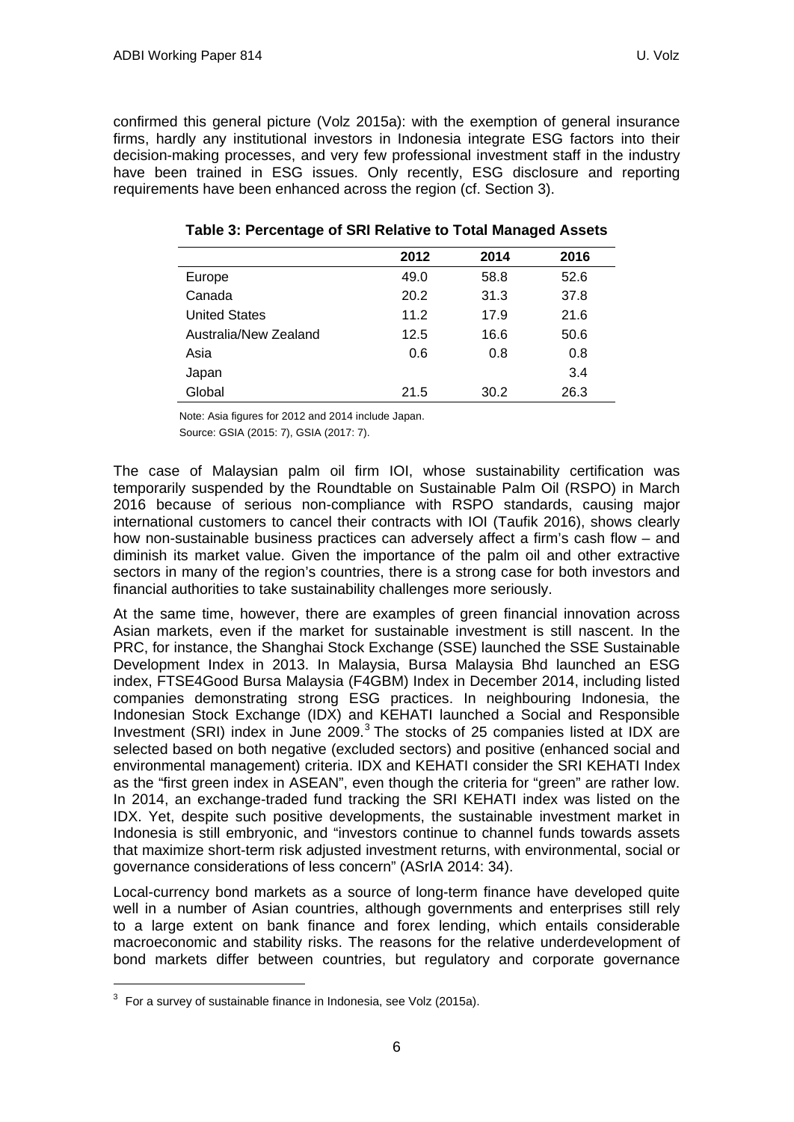confirmed this general picture (Volz 2015a): with the exemption of general insurance firms, hardly any institutional investors in Indonesia integrate ESG factors into their decision-making processes, and very few professional investment staff in the industry have been trained in ESG issues. Only recently, ESG disclosure and reporting requirements have been enhanced across the region (cf. Section 3).

|                       | 2012 | 2014 | 2016 |
|-----------------------|------|------|------|
| Europe                | 49.0 | 58.8 | 52.6 |
| Canada                | 20.2 | 31.3 | 37.8 |
| <b>United States</b>  | 11.2 | 17.9 | 21.6 |
| Australia/New Zealand | 12.5 | 16.6 | 50.6 |
| Asia                  | 0.6  | 0.8  | 0.8  |
| Japan                 |      |      | 3.4  |
| Global                | 21.5 | 30.2 | 26.3 |

#### **Table 3: Percentage of SRI Relative to Total Managed Assets**

Note: Asia figures for 2012 and 2014 include Japan.

Source: GSIA (2015: 7), GSIA (2017: 7).

The case of Malaysian palm oil firm IOI, whose sustainability certification was temporarily suspended by the Roundtable on Sustainable Palm Oil (RSPO) in March 2016 because of serious non-compliance with RSPO standards, causing major international customers to cancel their contracts with IOI (Taufik 2016), shows clearly how non-sustainable business practices can adversely affect a firm's cash flow – and diminish its market value. Given the importance of the palm oil and other extractive sectors in many of the region's countries, there is a strong case for both investors and financial authorities to take sustainability challenges more seriously.

At the same time, however, there are examples of green financial innovation across Asian markets, even if the market for sustainable investment is still nascent. In the PRC, for instance, the Shanghai Stock Exchange (SSE) launched the SSE Sustainable Development Index in 2013. In Malaysia, Bursa Malaysia Bhd launched an ESG index, FTSE4Good Bursa Malaysia (F4GBM) Index in December 2014, including listed companies demonstrating strong ESG practices. In neighbouring Indonesia, the Indonesian Stock Exchange (IDX) and KEHATI launched a Social and Responsible Investment (SRI) index in June  $2009<sup>3</sup>$  $2009<sup>3</sup>$  $2009<sup>3</sup>$  The stocks of 25 companies listed at IDX are selected based on both negative (excluded sectors) and positive (enhanced social and environmental management) criteria. IDX and KEHATI consider the SRI KEHATI Index as the "first green index in ASEAN", even though the criteria for "green" are rather low. In 2014, an exchange-traded fund tracking the SRI KEHATI index was listed on the IDX. Yet, despite such positive developments, the sustainable investment market in Indonesia is still embryonic, and "investors continue to channel funds towards assets that maximize short-term risk adjusted investment returns, with environmental, social or governance considerations of less concern" (ASrIA 2014: 34).

Local-currency bond markets as a source of long-term finance have developed quite well in a number of Asian countries, although governments and enterprises still rely to a large extent on bank finance and forex lending, which entails considerable macroeconomic and stability risks. The reasons for the relative underdevelopment of bond markets differ between countries, but regulatory and corporate governance

<span id="page-10-0"></span> $3$  For a survey of sustainable finance in Indonesia, see Volz (2015a).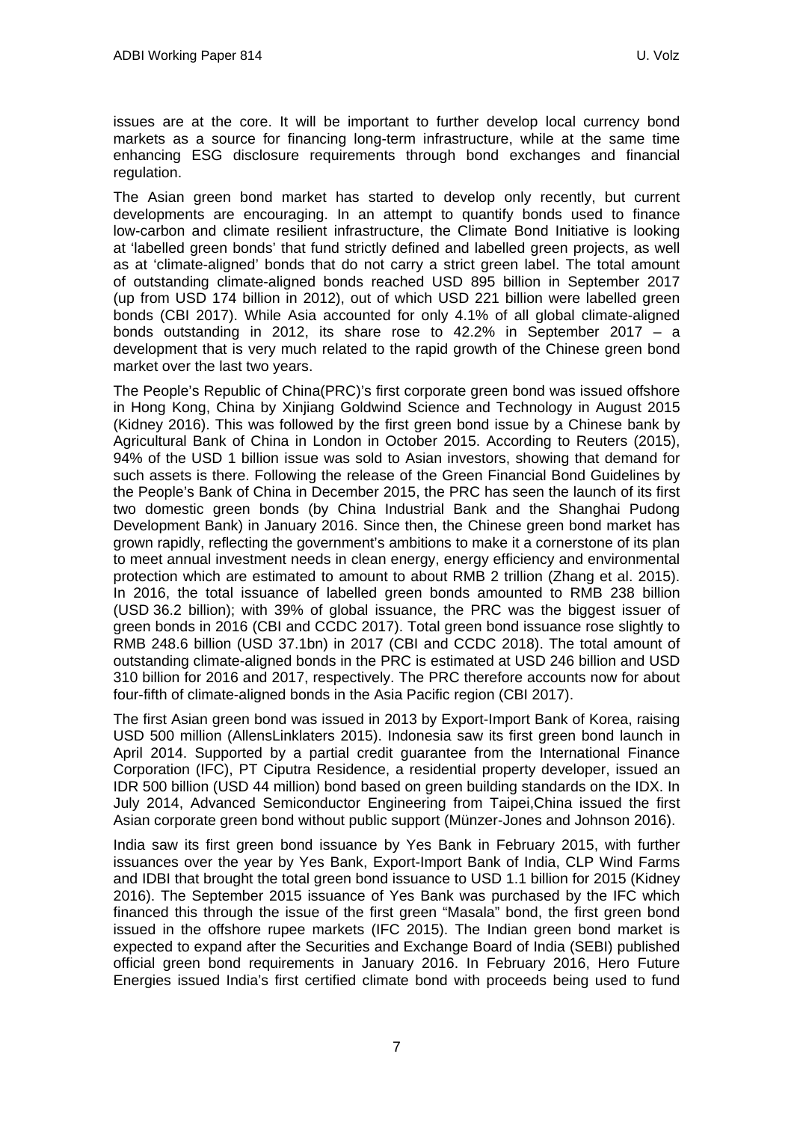issues are at the core. It will be important to further develop local currency bond markets as a source for financing long-term infrastructure, while at the same time enhancing ESG disclosure requirements through bond exchanges and financial regulation.

The Asian green bond market has started to develop only recently, but current developments are encouraging. In an attempt to quantify bonds used to finance low-carbon and climate resilient infrastructure, the Climate Bond Initiative is looking at 'labelled green bonds' that fund strictly defined and labelled green projects, as well as at 'climate-aligned' bonds that do not carry a strict green label. The total amount of outstanding climate-aligned bonds reached USD 895 billion in September 2017 (up from USD 174 billion in 2012), out of which USD 221 billion were labelled green bonds (CBI 2017). While Asia accounted for only 4.1% of all global climate-aligned bonds outstanding in 2012, its share rose to 42.2% in September 2017 – a development that is very much related to the rapid growth of the Chinese green bond market over the last two years.

The People's Republic of China(PRC)'s first corporate green bond was issued offshore in Hong Kong, China by Xinjiang Goldwind Science and Technology in August 2015 (Kidney 2016). This was followed by the first green bond issue by a Chinese bank by Agricultural Bank of China in London in October 2015. According to Reuters (2015), 94% of the USD 1 billion issue was sold to Asian investors, showing that demand for such assets is there. Following the release of the Green Financial Bond Guidelines by the People's Bank of China in December 2015, the PRC has seen the launch of its first two domestic green bonds (by China Industrial Bank and the Shanghai Pudong Development Bank) in January 2016. Since then, the Chinese green bond market has grown rapidly, reflecting the government's ambitions to make it a cornerstone of its plan to meet annual investment needs in clean energy, energy efficiency and environmental protection which are estimated to amount to about RMB 2 trillion (Zhang et al. 2015). In 2016, the total issuance of labelled green bonds amounted to RMB 238 billion (USD 36.2 billion); with 39% of global issuance, the PRC was the biggest issuer of green bonds in 2016 (CBI and CCDC 2017). Total green bond issuance rose slightly to RMB 248.6 billion (USD 37.1bn) in 2017 (CBI and CCDC 2018). The total amount of outstanding climate-aligned bonds in the PRC is estimated at USD 246 billion and USD 310 billion for 2016 and 2017, respectively. The PRC therefore accounts now for about four-fifth of climate-aligned bonds in the Asia Pacific region (CBI 2017).

The first Asian green bond was issued in 2013 by Export-Import Bank of Korea, raising USD 500 million (AllensLinklaters 2015). Indonesia saw its first green bond launch in April 2014. Supported by a partial credit guarantee from the International Finance Corporation (IFC), PT Ciputra Residence, a residential property developer, issued an IDR 500 billion (USD 44 million) bond based on green building standards on the IDX. In July 2014, Advanced Semiconductor Engineering from Taipei,China issued the first Asian corporate green bond without public support (Münzer-Jones and Johnson 2016).

India saw its first green bond issuance by Yes Bank in February 2015, with further issuances over the year by Yes Bank, Export-Import Bank of India, CLP Wind Farms and IDBI that brought the total green bond issuance to USD 1.1 billion for 2015 (Kidney 2016). The September 2015 issuance of Yes Bank was purchased by the IFC which financed this through the issue of the first green "Masala" bond, the first green bond issued in the offshore rupee markets (IFC 2015). The Indian green bond market is expected to expand after the Securities and Exchange Board of India (SEBI) published official green bond requirements in January 2016. In February 2016, Hero Future Energies issued India's first certified climate bond with proceeds being used to fund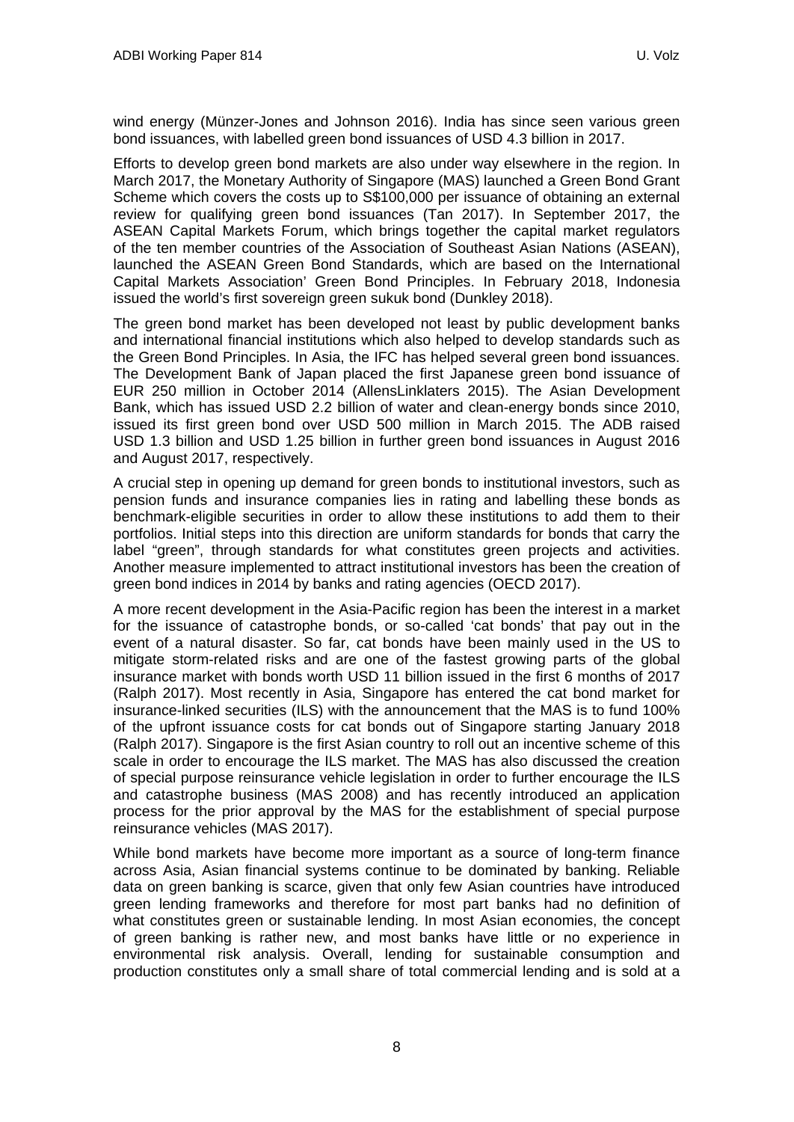wind energy (Münzer-Jones and Johnson 2016). India has since seen various green bond issuances, with labelled green bond issuances of USD 4.3 billion in 2017.

Efforts to develop green bond markets are also under way elsewhere in the region. In March 2017, the Monetary Authority of Singapore (MAS) launched a Green Bond Grant Scheme which covers the costs up to S\$100,000 per issuance of obtaining an external review for qualifying green bond issuances (Tan 2017). In September 2017, the ASEAN Capital Markets Forum, which brings together the capital market regulators of the ten member countries of the Association of Southeast Asian Nations (ASEAN), launched the ASEAN Green Bond Standards, which are based on the International Capital Markets Association' Green Bond Principles. In February 2018, Indonesia issued the world's first sovereign green sukuk bond (Dunkley 2018).

The green bond market has been developed not least by public development banks and international financial institutions which also helped to develop standards such as the Green Bond Principles. In Asia, the IFC has helped several green bond issuances. The Development Bank of Japan placed the first Japanese green bond issuance of EUR 250 million in October 2014 (AllensLinklaters 2015). The Asian Development Bank, which has issued USD 2.2 billion of water and clean-energy bonds since 2010, issued its first green bond over USD 500 million in March 2015. The ADB raised USD 1.3 billion and USD 1.25 billion in further green bond issuances in August 2016 and August 2017, respectively.

A crucial step in opening up demand for green bonds to institutional investors, such as pension funds and insurance companies lies in rating and labelling these bonds as benchmark-eligible securities in order to allow these institutions to add them to their portfolios. Initial steps into this direction are uniform standards for bonds that carry the label "green", through standards for what constitutes green projects and activities. Another measure implemented to attract institutional investors has been the creation of green bond indices in 2014 by banks and rating agencies (OECD 2017).

A more recent development in the Asia-Pacific region has been the interest in a market for the issuance of catastrophe bonds, or so-called 'cat bonds' that pay out in the event of a natural disaster. So far, cat bonds have been mainly used in the US to mitigate storm-related risks and are one of the fastest growing parts of the global insurance market with bonds worth USD 11 billion issued in the first 6 months of 2017 (Ralph 2017). Most recently in Asia, Singapore has entered the cat bond market for insurance-linked securities (ILS) with the announcement that the MAS is to fund 100% of the upfront issuance costs for cat bonds out of Singapore starting January 2018 (Ralph 2017). Singapore is the first Asian country to roll out an incentive scheme of this scale in order to encourage the ILS market. The MAS has also discussed the creation of special purpose reinsurance vehicle legislation in order to further encourage the ILS and catastrophe business (MAS 2008) and has recently introduced an application process for the prior approval by the MAS for the establishment of special purpose reinsurance vehicles (MAS 2017).

While bond markets have become more important as a source of long-term finance across Asia, Asian financial systems continue to be dominated by banking. Reliable data on green banking is scarce, given that only few Asian countries have introduced green lending frameworks and therefore for most part banks had no definition of what constitutes green or sustainable lending. In most Asian economies, the concept of green banking is rather new, and most banks have little or no experience in environmental risk analysis. Overall, lending for sustainable consumption and production constitutes only a small share of total commercial lending and is sold at a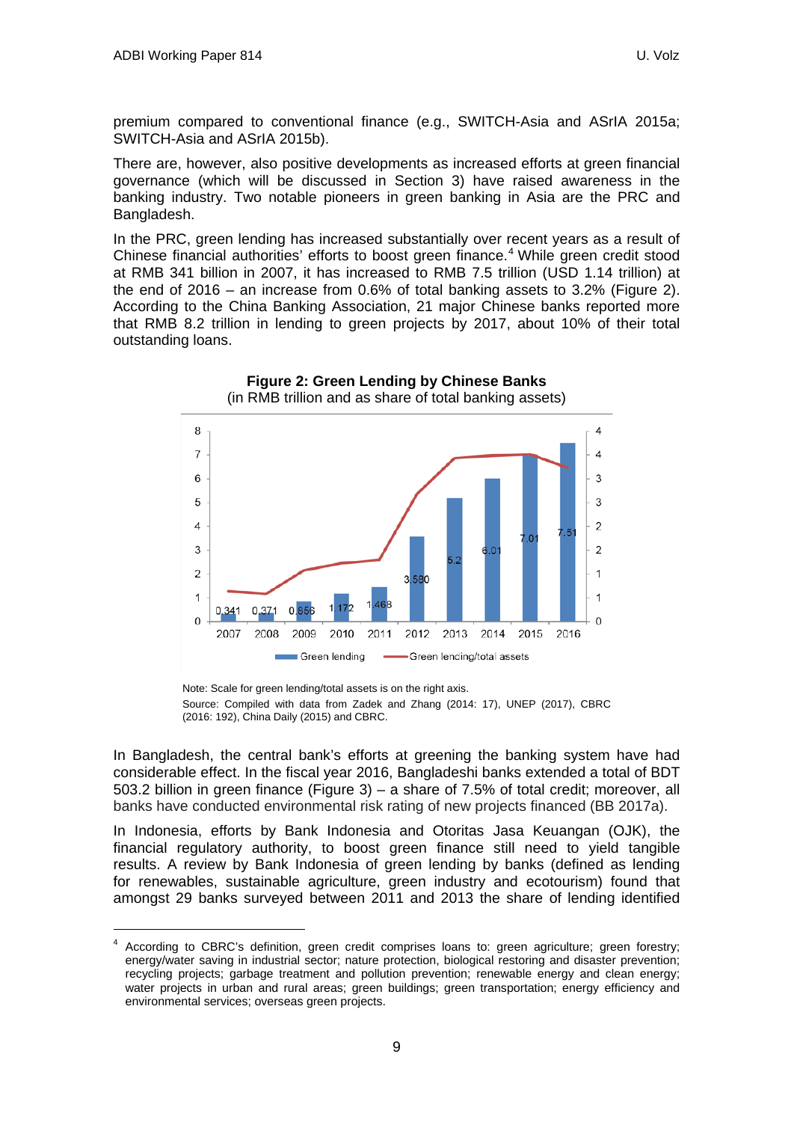premium compared to conventional finance (e.g., SWITCH-Asia and ASrIA 2015a; SWITCH-Asia and ASrIA 2015b).

There are, however, also positive developments as increased efforts at green financial governance (which will be discussed in Section 3) have raised awareness in the banking industry. Two notable pioneers in green banking in Asia are the PRC and Bangladesh.

In the PRC, green lending has increased substantially over recent years as a result of Chinese financial authorities' efforts to boost green finance.<sup>[4](#page-13-0)</sup> While green credit stood at RMB 341 billion in 2007, it has increased to RMB 7.5 trillion (USD 1.14 trillion) at the end of 2016 – an increase from 0.6% of total banking assets to 3.2% (Figure 2). According to the China Banking Association, 21 major Chinese banks reported more that RMB 8.2 trillion in lending to green projects by 2017, about 10% of their total outstanding loans.



**Figure 2: Green Lending by Chinese Banks**  (in RMB trillion and as share of total banking assets)

In Bangladesh, the central bank's efforts at greening the banking system have had considerable effect. In the fiscal year 2016, Bangladeshi banks extended a total of BDT 503.2 billion in green finance (Figure 3) – a share of 7.5% of total credit; moreover, all banks have conducted environmental risk rating of new projects financed (BB 2017a).

In Indonesia, efforts by Bank Indonesia and Otoritas Jasa Keuangan (OJK), the financial regulatory authority, to boost green finance still need to yield tangible results. A review by Bank Indonesia of green lending by banks (defined as lending for renewables, sustainable agriculture, green industry and ecotourism) found that amongst 29 banks surveyed between 2011 and 2013 the share of lending identified

Note: Scale for green lending/total assets is on the right axis. Source: Compiled with data from Zadek and Zhang (2014: 17), UNEP (2017), CBRC (2016: 192), China Daily (2015) and CBRC.

<span id="page-13-0"></span> <sup>4</sup> According to CBRC's definition, green credit comprises loans to: green agriculture; green forestry; energy/water saving in industrial sector; nature protection, biological restoring and disaster prevention; recycling projects; garbage treatment and pollution prevention; renewable energy and clean energy; water projects in urban and rural areas; green buildings; green transportation; energy efficiency and environmental services; overseas green projects.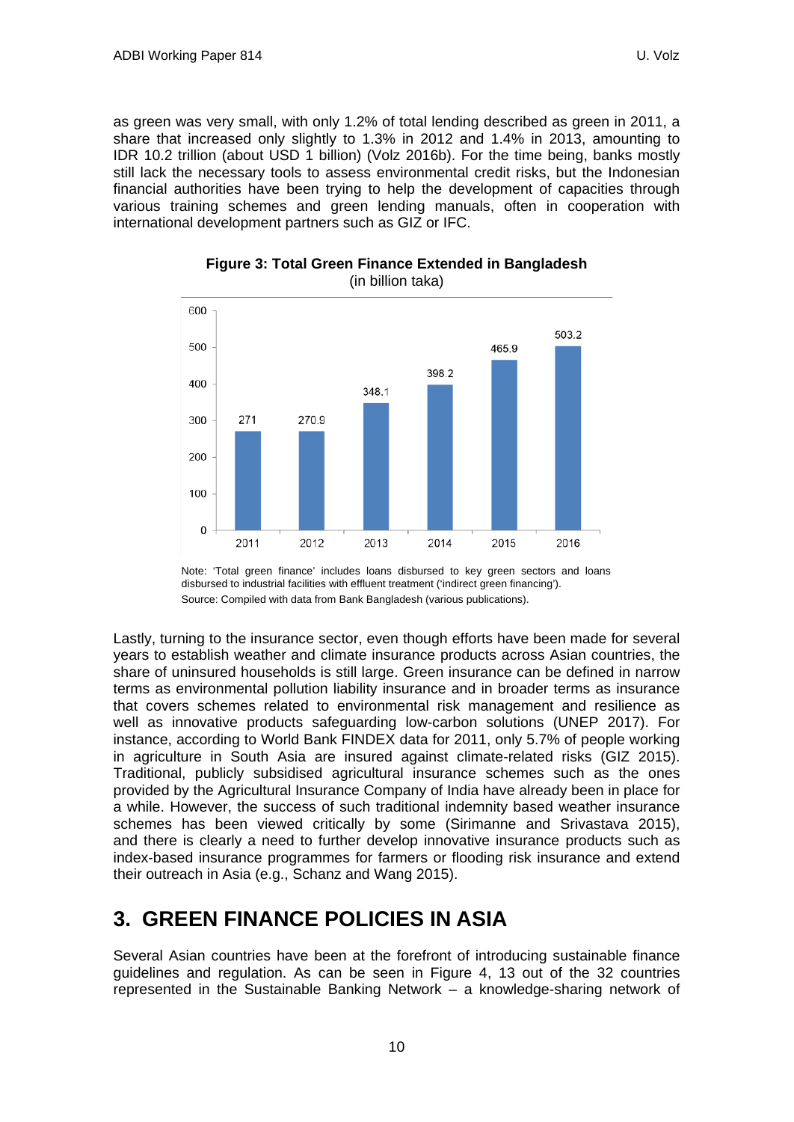as green was very small, with only 1.2% of total lending described as green in 2011, a share that increased only slightly to 1.3% in 2012 and 1.4% in 2013, amounting to IDR 10.2 trillion (about USD 1 billion) (Volz 2016b). For the time being, banks mostly still lack the necessary tools to assess environmental credit risks, but the Indonesian financial authorities have been trying to help the development of capacities through various training schemes and green lending manuals, often in cooperation with international development partners such as GIZ or IFC.



#### **Figure 3: Total Green Finance Extended in Bangladesh**  (in billion taka)

Note: 'Total green finance' includes loans disbursed to key green sectors and loans disbursed to industrial facilities with effluent treatment ('indirect green financing'). Source: Compiled with data from Bank Bangladesh (various publications).

Lastly, turning to the insurance sector, even though efforts have been made for several years to establish weather and climate insurance products across Asian countries, the share of uninsured households is still large. Green insurance can be defined in narrow terms as environmental pollution liability insurance and in broader terms as insurance that covers schemes related to environmental risk management and resilience as well as innovative products safeguarding low-carbon solutions (UNEP 2017). For instance, according to World Bank FINDEX data for 2011, only 5.7% of people working in agriculture in South Asia are insured against climate-related risks (GIZ 2015). Traditional, publicly subsidised agricultural insurance schemes such as the ones provided by the Agricultural Insurance Company of India have already been in place for a while. However, the success of such traditional indemnity based weather insurance schemes has been viewed critically by some (Sirimanne and Srivastava 2015), and there is clearly a need to further develop innovative insurance products such as index-based insurance programmes for farmers or flooding risk insurance and extend their outreach in Asia (e.g., Schanz and Wang 2015).

## <span id="page-14-0"></span>**3. GREEN FINANCE POLICIES IN ASIA**

Several Asian countries have been at the forefront of introducing sustainable finance guidelines and regulation. As can be seen in Figure 4, 13 out of the 32 countries represented in the Sustainable Banking Network – a knowledge-sharing network of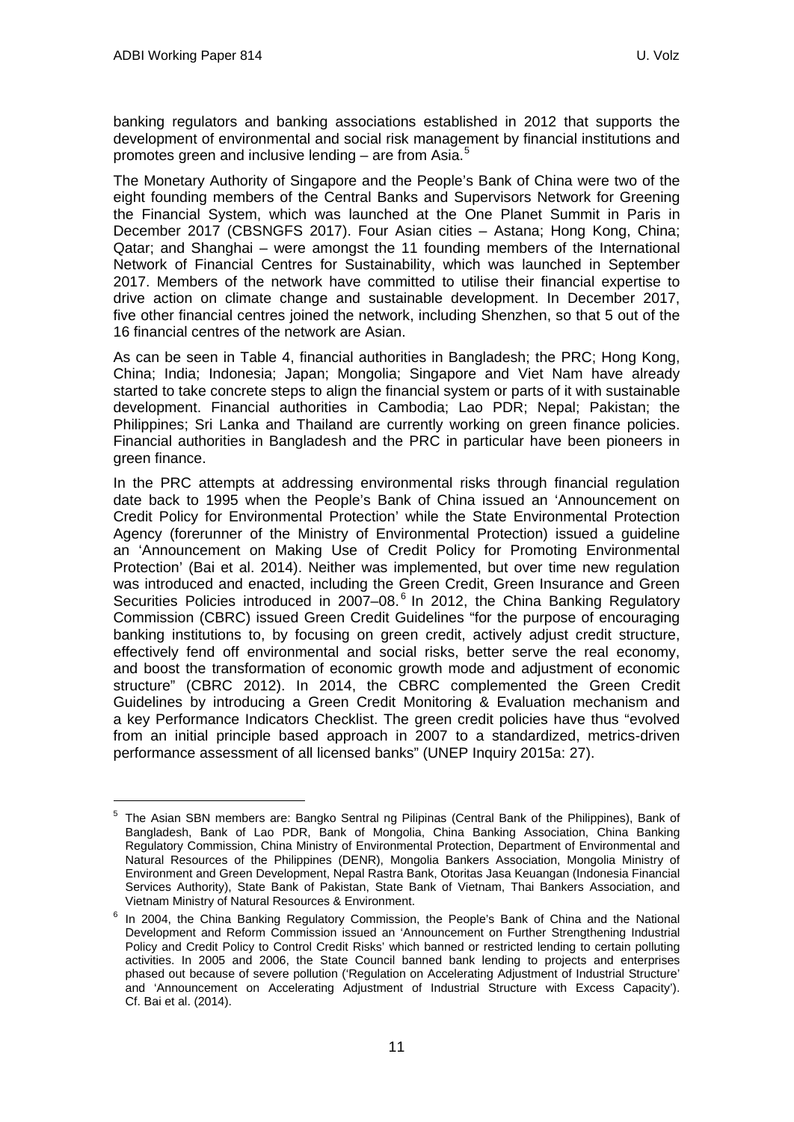banking regulators and banking associations established in 2012 that supports the development of environmental and social risk management by financial institutions and promotes green and inclusive lending – are from Asia. $5$ 

The Monetary Authority of Singapore and the People's Bank of China were two of the eight founding members of the Central Banks and Supervisors Network for Greening the Financial System, which was launched at the One Planet Summit in Paris in December 2017 (CBSNGFS 2017). Four Asian cities – Astana; Hong Kong, China; Qatar; and Shanghai – were amongst the 11 founding members of the International Network of Financial Centres for Sustainability, which was launched in September 2017. Members of the network have committed to utilise their financial expertise to drive action on climate change and sustainable development. In December 2017, five other financial centres joined the network, including Shenzhen, so that 5 out of the 16 financial centres of the network are Asian.

As can be seen in Table 4, financial authorities in Bangladesh; the PRC; Hong Kong, China; India; Indonesia; Japan; Mongolia; Singapore and Viet Nam have already started to take concrete steps to align the financial system or parts of it with sustainable development. Financial authorities in Cambodia; Lao PDR; Nepal; Pakistan; the Philippines; Sri Lanka and Thailand are currently working on green finance policies. Financial authorities in Bangladesh and the PRC in particular have been pioneers in green finance.

In the PRC attempts at addressing environmental risks through financial regulation date back to 1995 when the People's Bank of China issued an 'Announcement on Credit Policy for Environmental Protection' while the State Environmental Protection Agency (forerunner of the Ministry of Environmental Protection) issued a guideline an 'Announcement on Making Use of Credit Policy for Promoting Environmental Protection' (Bai et al. 2014). Neither was implemented, but over time new regulation was introduced and enacted, including the Green Credit, Green Insurance and Green Securities Policies introduced in 2007–08.<sup>[6](#page-15-1)</sup> In 2012, the China Banking Regulatory Commission (CBRC) issued Green Credit Guidelines "for the purpose of encouraging banking institutions to, by focusing on green credit, actively adjust credit structure, effectively fend off environmental and social risks, better serve the real economy, and boost the transformation of economic growth mode and adjustment of economic structure" (CBRC 2012). In 2014, the CBRC complemented the Green Credit Guidelines by introducing a Green Credit Monitoring & Evaluation mechanism and a key Performance Indicators Checklist. The green credit policies have thus "evolved from an initial principle based approach in 2007 to a standardized, metrics-driven performance assessment of all licensed banks" (UNEP Inquiry 2015a: 27).

<span id="page-15-0"></span> <sup>5</sup> The Asian SBN members are: Bangko Sentral ng Pilipinas (Central Bank of the Philippines), Bank of Bangladesh, Bank of Lao PDR, Bank of Mongolia, China Banking Association, China Banking Regulatory Commission, China Ministry of Environmental Protection, Department of Environmental and Natural Resources of the Philippines (DENR), Mongolia Bankers Association, Mongolia Ministry of Environment and Green Development, Nepal Rastra Bank, Otoritas Jasa Keuangan (Indonesia Financial Services Authority), State Bank of Pakistan, State Bank of Vietnam, Thai Bankers Association, and Vietnam Ministry of Natural Resources & Environment.

<span id="page-15-1"></span><sup>&</sup>lt;sup>6</sup> In 2004, the China Banking Regulatory Commission, the People's Bank of China and the National Development and Reform Commission issued an 'Announcement on Further Strengthening Industrial Policy and Credit Policy to Control Credit Risks' which banned or restricted lending to certain polluting activities. In 2005 and 2006, the State Council banned bank lending to projects and enterprises phased out because of severe pollution ('Regulation on Accelerating Adjustment of Industrial Structure' and 'Announcement on Accelerating Adjustment of Industrial Structure with Excess Capacity'). Cf. Bai et al. (2014).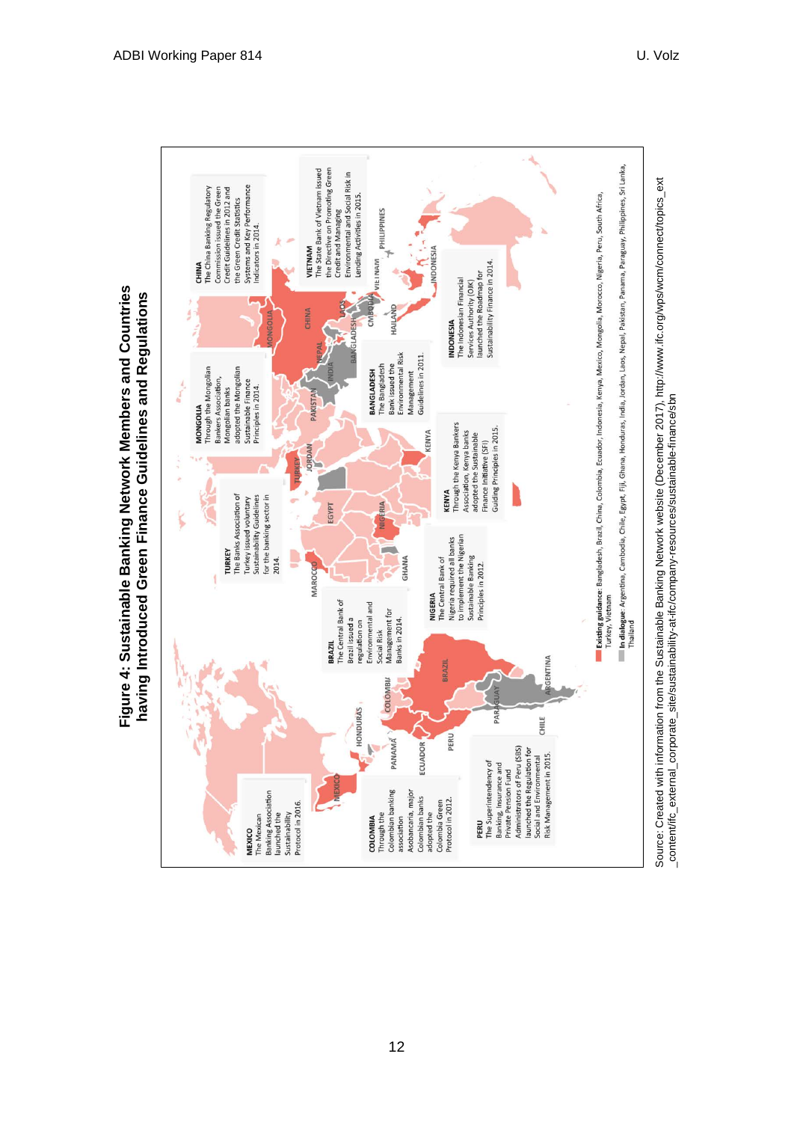

Source: Created with information from the Sustainable Banking Network website (December 2017), http://www.ifc.org/wps/wcm/connect/topics\_ext Source: Created with information from the Sustainable Banking Network website (December 2017), http://www.ifc.org/wps/wcm/connect/topics\_ext content/ifc\_external\_corporate\_site/sustainability-at-ifc/company-resources/sustainable-finance/sbn \_content/ifc\_external\_corporate\_site/sustainability-at-ifc/company-resources/sustainable-finance/sbn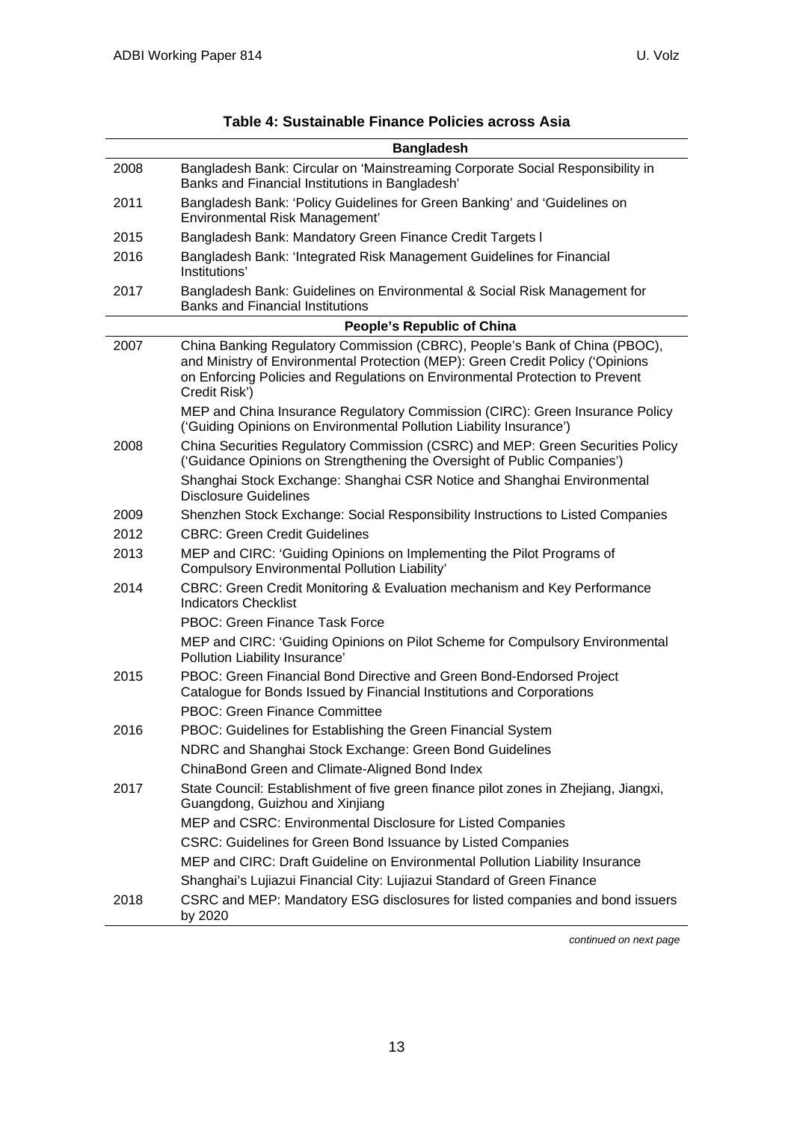|      | <b>Bangladesh</b>                                                                                                                                                                                                                                             |
|------|---------------------------------------------------------------------------------------------------------------------------------------------------------------------------------------------------------------------------------------------------------------|
| 2008 | Bangladesh Bank: Circular on 'Mainstreaming Corporate Social Responsibility in<br>Banks and Financial Institutions in Bangladesh'                                                                                                                             |
| 2011 | Bangladesh Bank: 'Policy Guidelines for Green Banking' and 'Guidelines on<br>Environmental Risk Management'                                                                                                                                                   |
| 2015 | Bangladesh Bank: Mandatory Green Finance Credit Targets I                                                                                                                                                                                                     |
| 2016 | Bangladesh Bank: 'Integrated Risk Management Guidelines for Financial<br>Institutions'                                                                                                                                                                        |
| 2017 | Bangladesh Bank: Guidelines on Environmental & Social Risk Management for<br><b>Banks and Financial Institutions</b>                                                                                                                                          |
|      | <b>People's Republic of China</b>                                                                                                                                                                                                                             |
| 2007 | China Banking Regulatory Commission (CBRC), People's Bank of China (PBOC),<br>and Ministry of Environmental Protection (MEP): Green Credit Policy ('Opinions<br>on Enforcing Policies and Regulations on Environmental Protection to Prevent<br>Credit Risk') |
|      | MEP and China Insurance Regulatory Commission (CIRC): Green Insurance Policy<br>('Guiding Opinions on Environmental Pollution Liability Insurance')                                                                                                           |
| 2008 | China Securities Regulatory Commission (CSRC) and MEP: Green Securities Policy<br>('Guidance Opinions on Strengthening the Oversight of Public Companies')                                                                                                    |
|      | Shanghai Stock Exchange: Shanghai CSR Notice and Shanghai Environmental<br><b>Disclosure Guidelines</b>                                                                                                                                                       |
| 2009 | Shenzhen Stock Exchange: Social Responsibility Instructions to Listed Companies                                                                                                                                                                               |
| 2012 | <b>CBRC: Green Credit Guidelines</b>                                                                                                                                                                                                                          |
| 2013 | MEP and CIRC: 'Guiding Opinions on Implementing the Pilot Programs of<br>Compulsory Environmental Pollution Liability'                                                                                                                                        |
| 2014 | CBRC: Green Credit Monitoring & Evaluation mechanism and Key Performance<br><b>Indicators Checklist</b>                                                                                                                                                       |
|      | <b>PBOC: Green Finance Task Force</b>                                                                                                                                                                                                                         |
|      | MEP and CIRC: 'Guiding Opinions on Pilot Scheme for Compulsory Environmental<br>Pollution Liability Insurance'                                                                                                                                                |
| 2015 | PBOC: Green Financial Bond Directive and Green Bond-Endorsed Project<br>Catalogue for Bonds Issued by Financial Institutions and Corporations                                                                                                                 |
|      | PBOC: Green Finance Committee                                                                                                                                                                                                                                 |
| 2016 | PBOC: Guidelines for Establishing the Green Financial System                                                                                                                                                                                                  |
|      | NDRC and Shanghai Stock Exchange: Green Bond Guidelines                                                                                                                                                                                                       |
|      | ChinaBond Green and Climate-Aligned Bond Index                                                                                                                                                                                                                |
| 2017 | State Council: Establishment of five green finance pilot zones in Zhejiang, Jiangxi,<br>Guangdong, Guizhou and Xinjiang                                                                                                                                       |
|      | MEP and CSRC: Environmental Disclosure for Listed Companies                                                                                                                                                                                                   |
|      | CSRC: Guidelines for Green Bond Issuance by Listed Companies                                                                                                                                                                                                  |
|      | MEP and CIRC: Draft Guideline on Environmental Pollution Liability Insurance                                                                                                                                                                                  |
|      | Shanghai's Lujiazui Financial City: Lujiazui Standard of Green Finance                                                                                                                                                                                        |
| 2018 | CSRC and MEP: Mandatory ESG disclosures for listed companies and bond issuers<br>by 2020                                                                                                                                                                      |

**Table 4: Sustainable Finance Policies across Asia**

*continued on next page*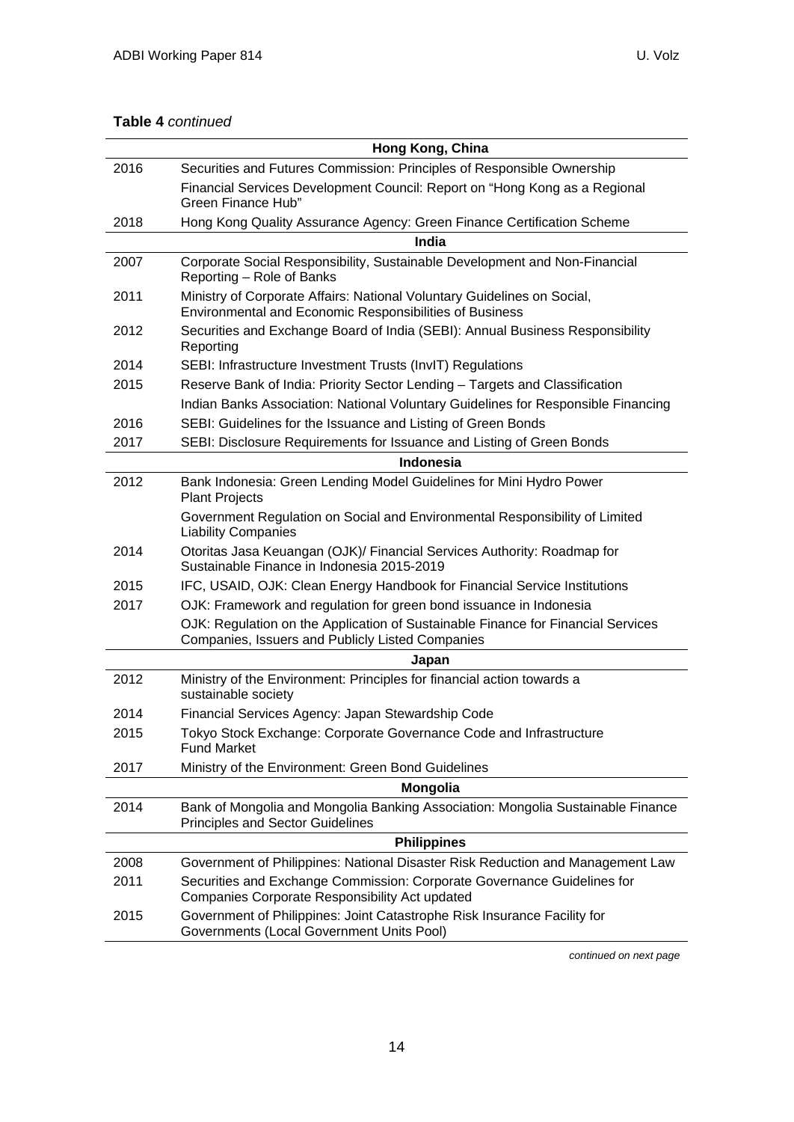|      | Hong Kong, China                                                                                                                     |
|------|--------------------------------------------------------------------------------------------------------------------------------------|
| 2016 | Securities and Futures Commission: Principles of Responsible Ownership                                                               |
|      | Financial Services Development Council: Report on "Hong Kong as a Regional<br>Green Finance Hub"                                     |
| 2018 | Hong Kong Quality Assurance Agency: Green Finance Certification Scheme                                                               |
|      | India                                                                                                                                |
| 2007 | Corporate Social Responsibility, Sustainable Development and Non-Financial<br>Reporting - Role of Banks                              |
| 2011 | Ministry of Corporate Affairs: National Voluntary Guidelines on Social,<br>Environmental and Economic Responsibilities of Business   |
| 2012 | Securities and Exchange Board of India (SEBI): Annual Business Responsibility<br>Reporting                                           |
| 2014 | SEBI: Infrastructure Investment Trusts (InvIT) Regulations                                                                           |
| 2015 | Reserve Bank of India: Priority Sector Lending - Targets and Classification                                                          |
|      | Indian Banks Association: National Voluntary Guidelines for Responsible Financing                                                    |
| 2016 | SEBI: Guidelines for the Issuance and Listing of Green Bonds                                                                         |
| 2017 | SEBI: Disclosure Requirements for Issuance and Listing of Green Bonds                                                                |
|      | <b>Indonesia</b>                                                                                                                     |
| 2012 | Bank Indonesia: Green Lending Model Guidelines for Mini Hydro Power<br><b>Plant Projects</b>                                         |
|      | Government Regulation on Social and Environmental Responsibility of Limited<br><b>Liability Companies</b>                            |
| 2014 | Otoritas Jasa Keuangan (OJK)/ Financial Services Authority: Roadmap for<br>Sustainable Finance in Indonesia 2015-2019                |
| 2015 | IFC, USAID, OJK: Clean Energy Handbook for Financial Service Institutions                                                            |
| 2017 | OJK: Framework and regulation for green bond issuance in Indonesia                                                                   |
|      | OJK: Regulation on the Application of Sustainable Finance for Financial Services<br>Companies, Issuers and Publicly Listed Companies |
|      | Japan                                                                                                                                |
| 2012 | Ministry of the Environment: Principles for financial action towards a<br>sustainable society                                        |
| 2014 | Financial Services Agency: Japan Stewardship Code                                                                                    |
| 2015 | Tokyo Stock Exchange: Corporate Governance Code and Infrastructure<br><b>Fund Market</b>                                             |
| 2017 | Ministry of the Environment: Green Bond Guidelines                                                                                   |
|      | <b>Mongolia</b>                                                                                                                      |
| 2014 | Bank of Mongolia and Mongolia Banking Association: Mongolia Sustainable Finance<br>Principles and Sector Guidelines                  |
|      | <b>Philippines</b>                                                                                                                   |
| 2008 | Government of Philippines: National Disaster Risk Reduction and Management Law                                                       |
| 2011 | Securities and Exchange Commission: Corporate Governance Guidelines for<br>Companies Corporate Responsibility Act updated            |
| 2015 | Government of Philippines: Joint Catastrophe Risk Insurance Facility for<br>Governments (Local Government Units Pool)                |

*continued on next page*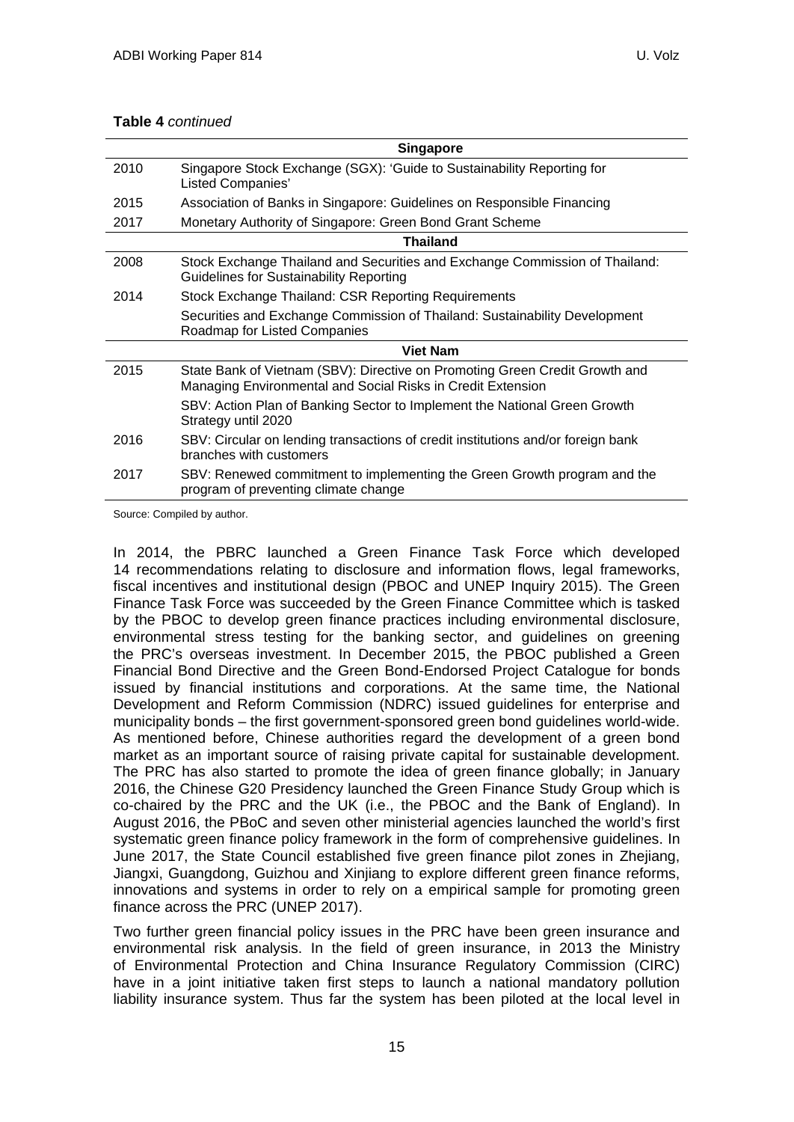|      | <b>Singapore</b>                                                                                                                           |
|------|--------------------------------------------------------------------------------------------------------------------------------------------|
| 2010 | Singapore Stock Exchange (SGX): 'Guide to Sustainability Reporting for<br>Listed Companies'                                                |
| 2015 | Association of Banks in Singapore: Guidelines on Responsible Financing                                                                     |
| 2017 | Monetary Authority of Singapore: Green Bond Grant Scheme                                                                                   |
|      | <b>Thailand</b>                                                                                                                            |
| 2008 | Stock Exchange Thailand and Securities and Exchange Commission of Thailand:<br>Guidelines for Sustainability Reporting                     |
| 2014 | Stock Exchange Thailand: CSR Reporting Requirements                                                                                        |
|      | Securities and Exchange Commission of Thailand: Sustainability Development<br>Roadmap for Listed Companies                                 |
|      | <b>Viet Nam</b>                                                                                                                            |
| 2015 | State Bank of Vietnam (SBV): Directive on Promoting Green Credit Growth and<br>Managing Environmental and Social Risks in Credit Extension |
|      | SBV: Action Plan of Banking Sector to Implement the National Green Growth<br>Strategy until 2020                                           |
| 2016 | SBV: Circular on lending transactions of credit institutions and/or foreign bank<br>branches with customers                                |
| 2017 | SBV: Renewed commitment to implementing the Green Growth program and the<br>program of preventing climate change                           |

Source: Compiled by author.

In 2014, the PBRC launched a Green Finance Task Force which developed 14 recommendations relating to disclosure and information flows, legal frameworks, fiscal incentives and institutional design (PBOC and UNEP Inquiry 2015). The Green Finance Task Force was succeeded by the Green Finance Committee which is tasked by the PBOC to develop green finance practices including environmental disclosure, environmental stress testing for the banking sector, and guidelines on greening the PRC's overseas investment. In December 2015, the PBOC published a Green Financial Bond Directive and the Green Bond-Endorsed Project Catalogue for bonds issued by financial institutions and corporations. At the same time, the National Development and Reform Commission (NDRC) issued guidelines for enterprise and municipality bonds – the first government-sponsored green bond guidelines world-wide. As mentioned before, Chinese authorities regard the development of a green bond market as an important source of raising private capital for sustainable development. The PRC has also started to promote the idea of green finance globally; in January 2016, the Chinese G20 Presidency launched the Green Finance Study Group which is co-chaired by the PRC and the UK (i.e., the PBOC and the Bank of England). In August 2016, the PBoC and seven other ministerial agencies launched the world's first systematic green finance policy framework in the form of comprehensive guidelines. In June 2017, the State Council established five green finance pilot zones in Zhejiang, Jiangxi, Guangdong, Guizhou and Xinjiang to explore different green finance reforms, innovations and systems in order to rely on a empirical sample for promoting green finance across the PRC (UNEP 2017).

Two further green financial policy issues in the PRC have been green insurance and environmental risk analysis. In the field of green insurance, in 2013 the Ministry of Environmental Protection and China Insurance Regulatory Commission (CIRC) have in a joint initiative taken first steps to launch a national mandatory pollution liability insurance system. Thus far the system has been piloted at the local level in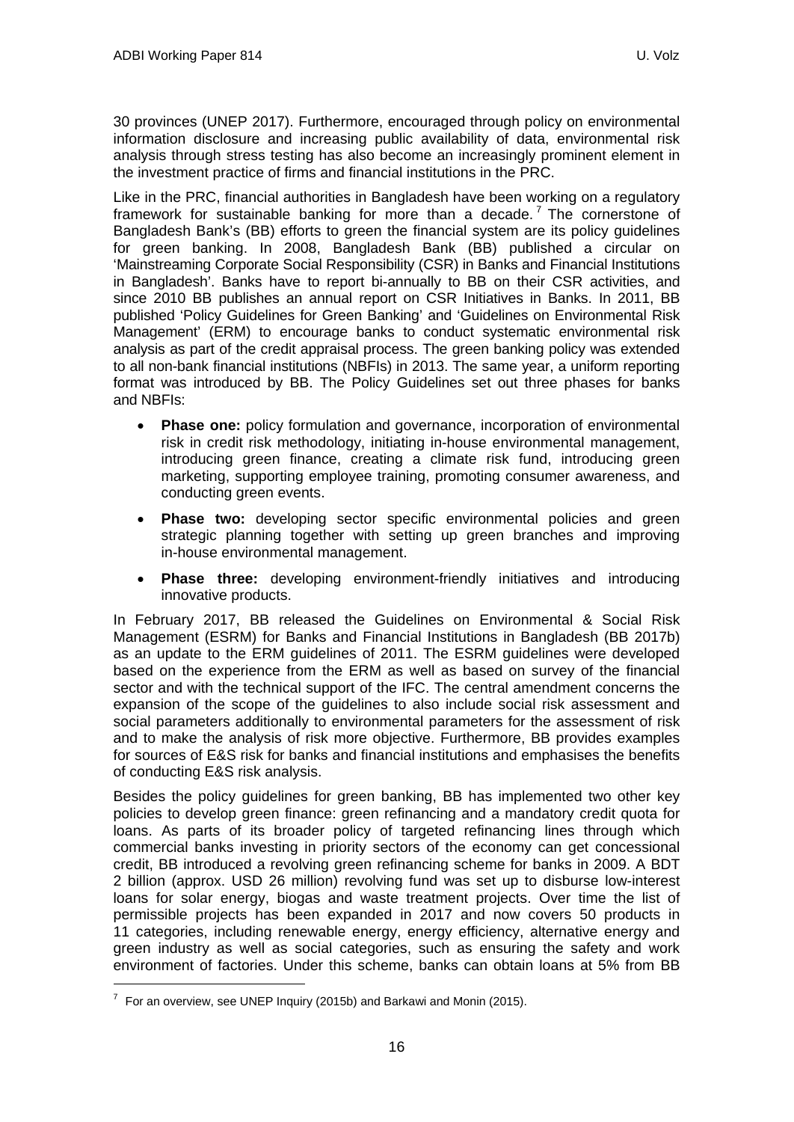30 provinces (UNEP 2017). Furthermore, encouraged through policy on environmental information disclosure and increasing public availability of data, environmental risk analysis through stress testing has also become an increasingly prominent element in the investment practice of firms and financial institutions in the PRC.

Like in the PRC, financial authorities in Bangladesh have been working on a regulatory framework for sustainable banking for more than a decade.<sup>[7](#page-20-0)</sup> The cornerstone of Bangladesh Bank's (BB) efforts to green the financial system are its policy guidelines for green banking. In 2008, Bangladesh Bank (BB) published a circular on 'Mainstreaming Corporate Social Responsibility (CSR) in Banks and Financial Institutions in Bangladesh'. Banks have to report bi-annually to BB on their CSR activities, and since 2010 BB publishes an annual report on CSR Initiatives in Banks. In 2011, BB published 'Policy Guidelines for Green Banking' and 'Guidelines on Environmental Risk Management' (ERM) to encourage banks to conduct systematic environmental risk analysis as part of the credit appraisal process. The green banking policy was extended to all non-bank financial institutions (NBFIs) in 2013. The same year, a uniform reporting format was introduced by BB. The Policy Guidelines set out three phases for banks and NBFIs:

- **Phase one:** policy formulation and governance, incorporation of environmental risk in credit risk methodology, initiating in-house environmental management, introducing green finance, creating a climate risk fund, introducing green marketing, supporting employee training, promoting consumer awareness, and conducting green events.
- **Phase two:** developing sector specific environmental policies and green strategic planning together with setting up green branches and improving in-house environmental management.
- **Phase three:** developing environment-friendly initiatives and introducing innovative products.

In February 2017, BB released the Guidelines on Environmental & Social Risk Management (ESRM) for Banks and Financial Institutions in Bangladesh (BB 2017b) as an update to the ERM guidelines of 2011. The ESRM guidelines were developed based on the experience from the ERM as well as based on survey of the financial sector and with the technical support of the IFC. The central amendment concerns the expansion of the scope of the guidelines to also include social risk assessment and social parameters additionally to environmental parameters for the assessment of risk and to make the analysis of risk more objective. Furthermore, BB provides examples for sources of E&S risk for banks and financial institutions and emphasises the benefits of conducting E&S risk analysis.

Besides the policy guidelines for green banking, BB has implemented two other key policies to develop green finance: green refinancing and a mandatory credit quota for loans. As parts of its broader policy of targeted refinancing lines through which commercial banks investing in priority sectors of the economy can get concessional credit, BB introduced a revolving green refinancing scheme for banks in 2009. A BDT 2 billion (approx. USD 26 million) revolving fund was set up to disburse low-interest loans for solar energy, biogas and waste treatment projects. Over time the list of permissible projects has been expanded in 2017 and now covers 50 products in 11 categories, including renewable energy, energy efficiency, alternative energy and green industry as well as social categories, such as ensuring the safety and work environment of factories. Under this scheme, banks can obtain loans at 5% from BB

<span id="page-20-0"></span> $7$  For an overview, see UNEP Inquiry (2015b) and Barkawi and Monin (2015).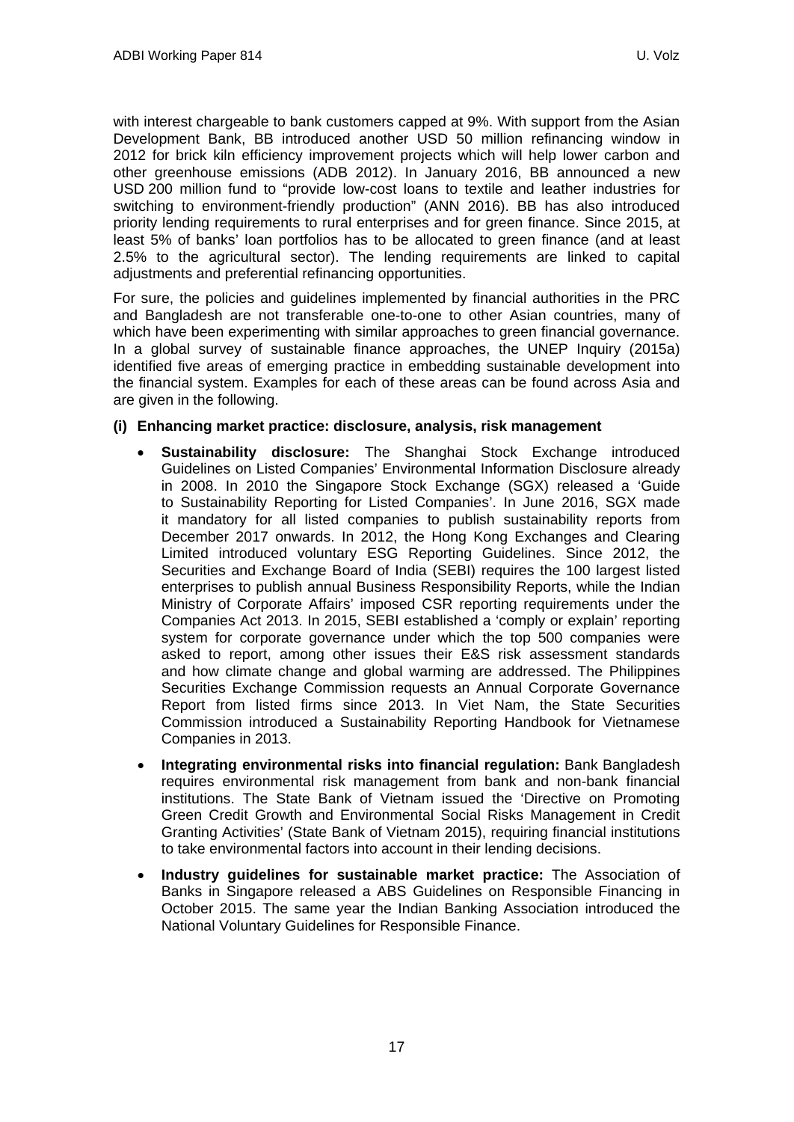with interest chargeable to bank customers capped at 9%. With support from the Asian Development Bank, BB introduced another USD 50 million refinancing window in 2012 for brick kiln efficiency improvement projects which will help lower carbon and other greenhouse emissions (ADB 2012). In January 2016, BB announced a new USD 200 million fund to "provide low-cost loans to textile and leather industries for switching to environment-friendly production" (ANN 2016). BB has also introduced priority lending requirements to rural enterprises and for green finance. Since 2015, at least 5% of banks' loan portfolios has to be allocated to green finance (and at least 2.5% to the agricultural sector). The lending requirements are linked to capital adjustments and preferential refinancing opportunities.

For sure, the policies and guidelines implemented by financial authorities in the PRC and Bangladesh are not transferable one-to-one to other Asian countries, many of which have been experimenting with similar approaches to green financial governance. In a global survey of sustainable finance approaches, the UNEP Inquiry (2015a) identified five areas of emerging practice in embedding sustainable development into the financial system. Examples for each of these areas can be found across Asia and are given in the following.

### **(i) Enhancing market practice: disclosure, analysis, risk management**

- **Sustainability disclosure:** The Shanghai Stock Exchange introduced Guidelines on Listed Companies' Environmental Information Disclosure already in 2008. In 2010 the Singapore Stock Exchange (SGX) released a 'Guide to Sustainability Reporting for Listed Companies'. In June 2016, SGX made it mandatory for all listed companies to publish sustainability reports from December 2017 onwards. In 2012, the Hong Kong Exchanges and Clearing Limited introduced voluntary ESG Reporting Guidelines. Since 2012, the Securities and Exchange Board of India (SEBI) requires the 100 largest listed enterprises to publish annual Business Responsibility Reports, while the Indian Ministry of Corporate Affairs' imposed CSR reporting requirements under the Companies Act 2013. In 2015, SEBI established a 'comply or explain' reporting system for corporate governance under which the top 500 companies were asked to report, among other issues their E&S risk assessment standards and how climate change and global warming are addressed. The Philippines Securities Exchange Commission requests an Annual Corporate Governance Report from listed firms since 2013. In Viet Nam, the State Securities Commission introduced a Sustainability Reporting Handbook for Vietnamese Companies in 2013.
- **Integrating environmental risks into financial regulation:** Bank Bangladesh requires environmental risk management from bank and non-bank financial institutions. The State Bank of Vietnam issued the 'Directive on Promoting Green Credit Growth and Environmental Social Risks Management in Credit Granting Activities' (State Bank of Vietnam 2015), requiring financial institutions to take environmental factors into account in their lending decisions.
- **Industry guidelines for sustainable market practice:** The Association of Banks in Singapore released a ABS Guidelines on Responsible Financing in October 2015. The same year the Indian Banking Association introduced the National Voluntary Guidelines for Responsible Finance.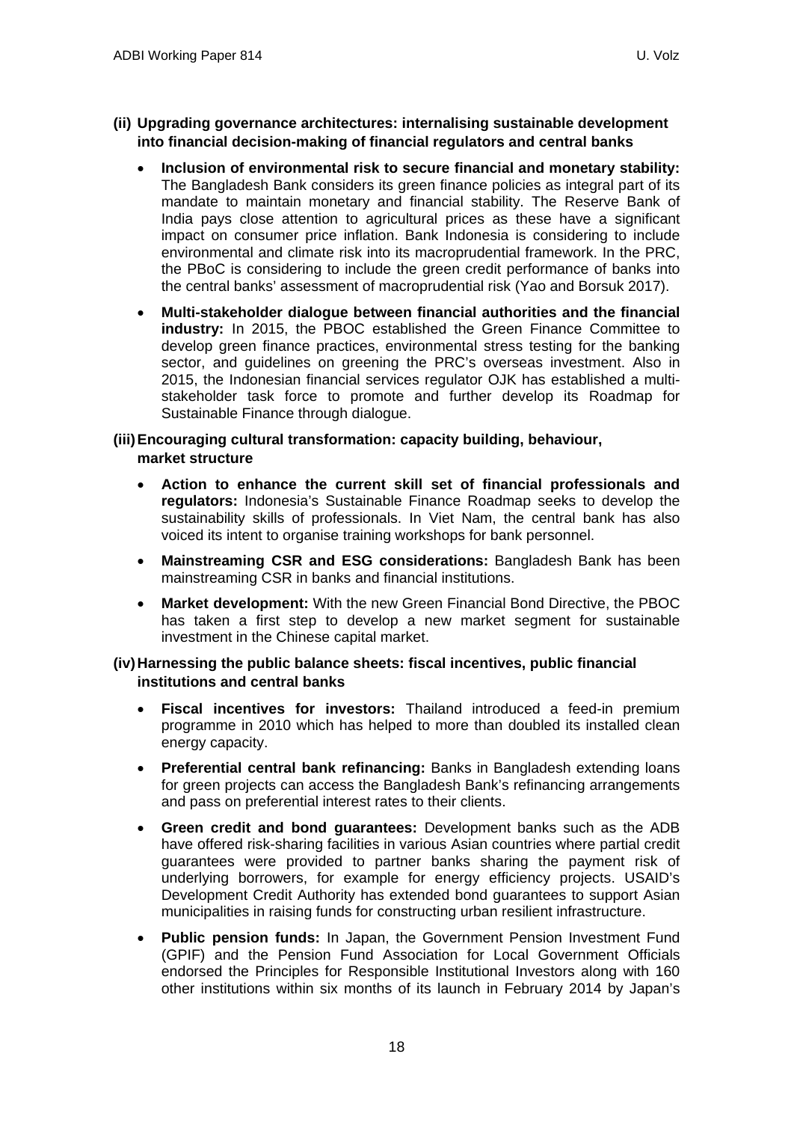- **(ii) Upgrading governance architectures: internalising sustainable development into financial decision-making of financial regulators and central banks**
	- **Inclusion of environmental risk to secure financial and monetary stability:** The Bangladesh Bank considers its green finance policies as integral part of its mandate to maintain monetary and financial stability. The Reserve Bank of India pays close attention to agricultural prices as these have a significant impact on consumer price inflation. Bank Indonesia is considering to include environmental and climate risk into its macroprudential framework. In the PRC, the PBoC is considering to include the green credit performance of banks into the central banks' assessment of macroprudential risk (Yao and Borsuk 2017).
	- **Multi-stakeholder dialogue between financial authorities and the financial industry:** In 2015, the PBOC established the Green Finance Committee to develop green finance practices, environmental stress testing for the banking sector, and guidelines on greening the PRC's overseas investment. Also in 2015, the Indonesian financial services regulator OJK has established a multistakeholder task force to promote and further develop its Roadmap for Sustainable Finance through dialogue.

### **(iii)Encouraging cultural transformation: capacity building, behaviour, market structure**

- **Action to enhance the current skill set of financial professionals and regulators:** Indonesia's Sustainable Finance Roadmap seeks to develop the sustainability skills of professionals. In Viet Nam, the central bank has also voiced its intent to organise training workshops for bank personnel.
- **Mainstreaming CSR and ESG considerations:** Bangladesh Bank has been mainstreaming CSR in banks and financial institutions.
- **Market development:** With the new Green Financial Bond Directive, the PBOC has taken a first step to develop a new market segment for sustainable investment in the Chinese capital market.

### **(iv)Harnessing the public balance sheets: fiscal incentives, public financial institutions and central banks**

- **Fiscal incentives for investors:** Thailand introduced a feed-in premium programme in 2010 which has helped to more than doubled its installed clean energy capacity.
- **Preferential central bank refinancing:** Banks in Bangladesh extending loans for green projects can access the Bangladesh Bank's refinancing arrangements and pass on preferential interest rates to their clients.
- **Green credit and bond guarantees:** Development banks such as the ADB have offered risk-sharing facilities in various Asian countries where partial credit guarantees were provided to partner banks sharing the payment risk of underlying borrowers, for example for energy efficiency projects. USAID's Development Credit Authority has extended bond guarantees to support Asian municipalities in raising funds for constructing urban resilient infrastructure.
- **Public pension funds:** In Japan, the Government Pension Investment Fund (GPIF) and the Pension Fund Association for Local Government Officials endorsed the Principles for Responsible Institutional Investors along with 160 other institutions within six months of its launch in February 2014 by Japan's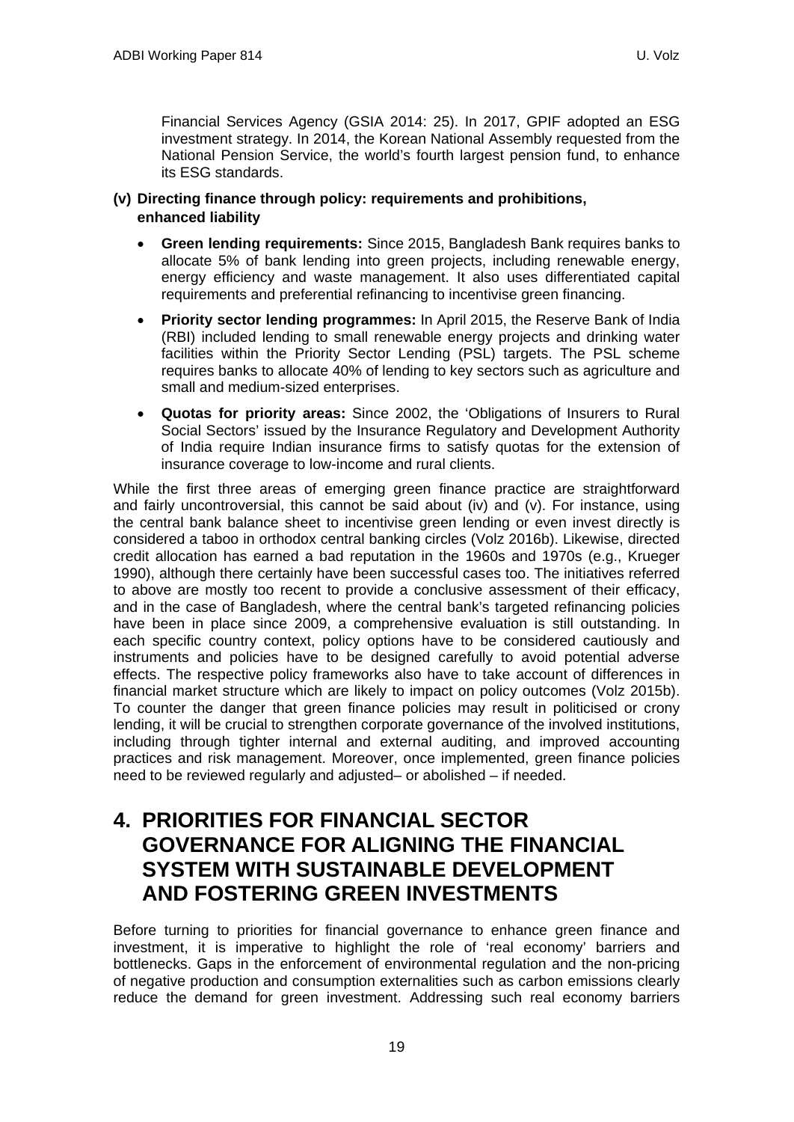Financial Services Agency (GSIA 2014: 25). In 2017, GPIF adopted an ESG investment strategy. In 2014, the Korean National Assembly requested from the National Pension Service, the world's fourth largest pension fund, to enhance its ESG standards.

- **(v) Directing finance through policy: requirements and prohibitions, enhanced liability**
	- **Green lending requirements:** Since 2015, Bangladesh Bank requires banks to allocate 5% of bank lending into green projects, including renewable energy, energy efficiency and waste management. It also uses differentiated capital requirements and preferential refinancing to incentivise green financing.
	- **Priority sector lending programmes:** In April 2015, the Reserve Bank of India (RBI) included lending to small renewable energy projects and drinking water facilities within the Priority Sector Lending (PSL) targets. The PSL scheme requires banks to allocate 40% of lending to key sectors such as agriculture and small and medium-sized enterprises.
	- **Quotas for priority areas:** Since 2002, the 'Obligations of Insurers to Rural Social Sectors' issued by the Insurance Regulatory and Development Authority of India require Indian insurance firms to satisfy quotas for the extension of insurance coverage to low-income and rural clients.

While the first three areas of emerging green finance practice are straightforward and fairly uncontroversial, this cannot be said about (iv) and (v). For instance, using the central bank balance sheet to incentivise green lending or even invest directly is considered a taboo in orthodox central banking circles (Volz 2016b). Likewise, directed credit allocation has earned a bad reputation in the 1960s and 1970s (e.g., Krueger 1990), although there certainly have been successful cases too. The initiatives referred to above are mostly too recent to provide a conclusive assessment of their efficacy, and in the case of Bangladesh, where the central bank's targeted refinancing policies have been in place since 2009, a comprehensive evaluation is still outstanding. In each specific country context, policy options have to be considered cautiously and instruments and policies have to be designed carefully to avoid potential adverse effects. The respective policy frameworks also have to take account of differences in financial market structure which are likely to impact on policy outcomes (Volz 2015b). To counter the danger that green finance policies may result in politicised or crony lending, it will be crucial to strengthen corporate governance of the involved institutions, including through tighter internal and external auditing, and improved accounting practices and risk management. Moreover, once implemented, green finance policies need to be reviewed regularly and adjusted– or abolished – if needed.

### <span id="page-23-0"></span>**4. PRIORITIES FOR FINANCIAL SECTOR GOVERNANCE FOR ALIGNING THE FINANCIAL SYSTEM WITH SUSTAINABLE DEVELOPMENT AND FOSTERING GREEN INVESTMENTS**

Before turning to priorities for financial governance to enhance green finance and investment, it is imperative to highlight the role of 'real economy' barriers and bottlenecks. Gaps in the enforcement of environmental regulation and the non-pricing of negative production and consumption externalities such as carbon emissions clearly reduce the demand for green investment. Addressing such real economy barriers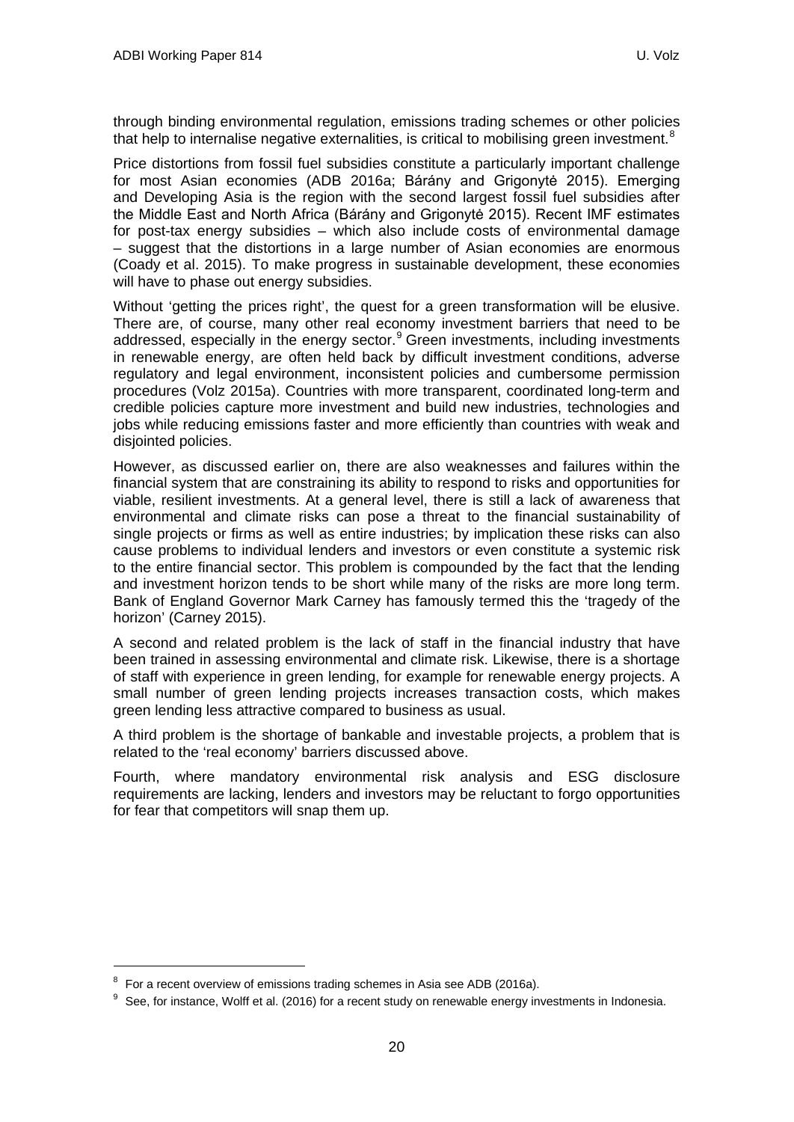through binding environmental regulation, emissions trading schemes or other policies that help to internalise negative externalities, is critical to mobilising green investment.<sup>[8](#page-24-0)</sup>

Price distortions from fossil fuel subsidies constitute a particularly important challenge for most Asian economies (ADB 2016a; Bárány and Grigonytė 2015). Emerging and Developing Asia is the region with the second largest fossil fuel subsidies after the Middle East and North Africa (Bárány and Grigonytė 2015). Recent IMF estimates for post-tax energy subsidies – which also include costs of environmental damage – suggest that the distortions in a large number of Asian economies are enormous (Coady et al. 2015). To make progress in sustainable development, these economies will have to phase out energy subsidies.

Without 'getting the prices right', the quest for a green transformation will be elusive. There are, of course, many other real economy investment barriers that need to be addressed, especially in the energy sector.<sup>[9](#page-24-1)</sup> Green investments, including investments in renewable energy, are often held back by difficult investment conditions, adverse regulatory and legal environment, inconsistent policies and cumbersome permission procedures (Volz 2015a). Countries with more transparent, coordinated long-term and credible policies capture more investment and build new industries, technologies and jobs while reducing emissions faster and more efficiently than countries with weak and disjointed policies.

However, as discussed earlier on, there are also weaknesses and failures within the financial system that are constraining its ability to respond to risks and opportunities for viable, resilient investments. At a general level, there is still a lack of awareness that environmental and climate risks can pose a threat to the financial sustainability of single projects or firms as well as entire industries; by implication these risks can also cause problems to individual lenders and investors or even constitute a systemic risk to the entire financial sector. This problem is compounded by the fact that the lending and investment horizon tends to be short while many of the risks are more long term. Bank of England Governor Mark Carney has famously termed this the 'tragedy of the horizon' (Carney 2015).

A second and related problem is the lack of staff in the financial industry that have been trained in assessing environmental and climate risk. Likewise, there is a shortage of staff with experience in green lending, for example for renewable energy projects. A small number of green lending projects increases transaction costs, which makes green lending less attractive compared to business as usual.

A third problem is the shortage of bankable and investable projects, a problem that is related to the 'real economy' barriers discussed above.

Fourth, where mandatory environmental risk analysis and ESG disclosure requirements are lacking, lenders and investors may be reluctant to forgo opportunities for fear that competitors will snap them up.

<span id="page-24-0"></span> $8$  For a recent overview of emissions trading schemes in Asia see ADB (2016a).

<span id="page-24-1"></span> $9$  See, for instance, Wolff et al. (2016) for a recent study on renewable energy investments in Indonesia.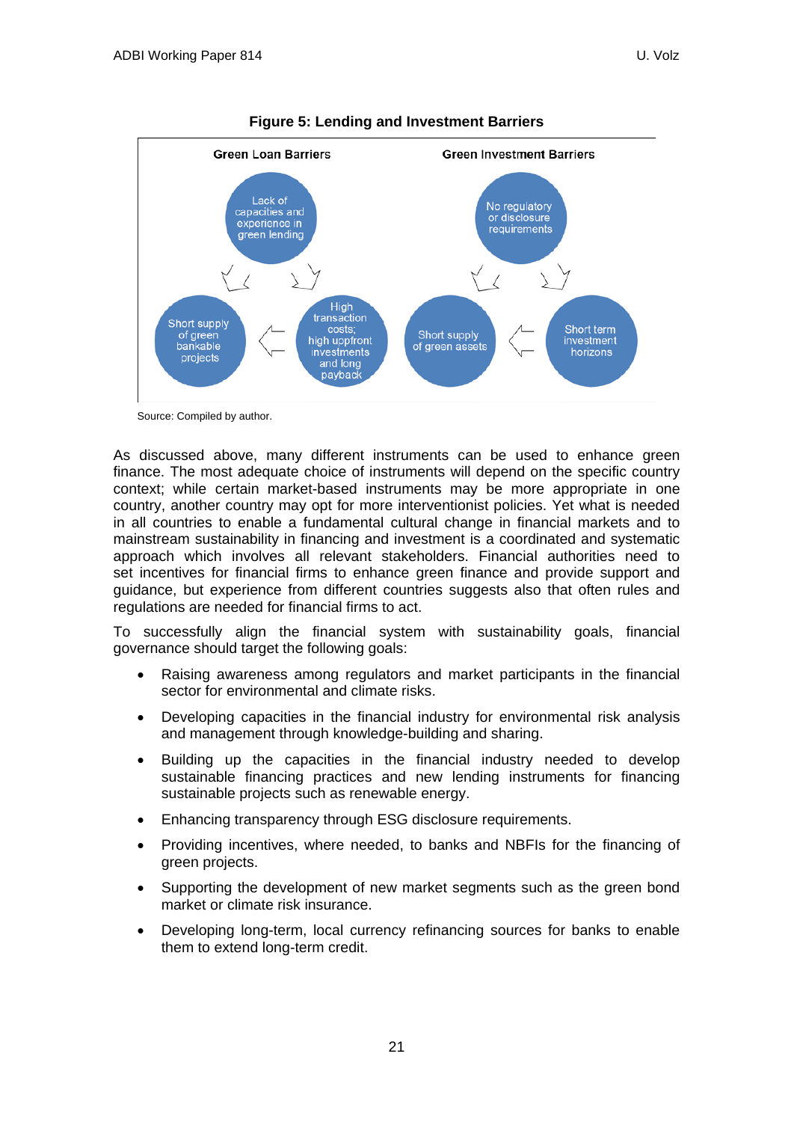

### **Figure 5: Lending and Investment Barriers**

Source: Compiled by author.

As discussed above, many different instruments can be used to enhance green finance. The most adequate choice of instruments will depend on the specific country context; while certain market-based instruments may be more appropriate in one country, another country may opt for more interventionist policies. Yet what is needed in all countries to enable a fundamental cultural change in financial markets and to mainstream sustainability in financing and investment is a coordinated and systematic approach which involves all relevant stakeholders. Financial authorities need to set incentives for financial firms to enhance green finance and provide support and guidance, but experience from different countries suggests also that often rules and regulations are needed for financial firms to act.

To successfully align the financial system with sustainability goals, financial governance should target the following goals:

- Raising awareness among regulators and market participants in the financial sector for environmental and climate risks.
- Developing capacities in the financial industry for environmental risk analysis and management through knowledge-building and sharing.
- Building up the capacities in the financial industry needed to develop sustainable financing practices and new lending instruments for financing sustainable projects such as renewable energy.
- Enhancing transparency through ESG disclosure requirements.
- Providing incentives, where needed, to banks and NBFIs for the financing of green projects.
- Supporting the development of new market segments such as the green bond market or climate risk insurance.
- Developing long-term, local currency refinancing sources for banks to enable them to extend long-term credit.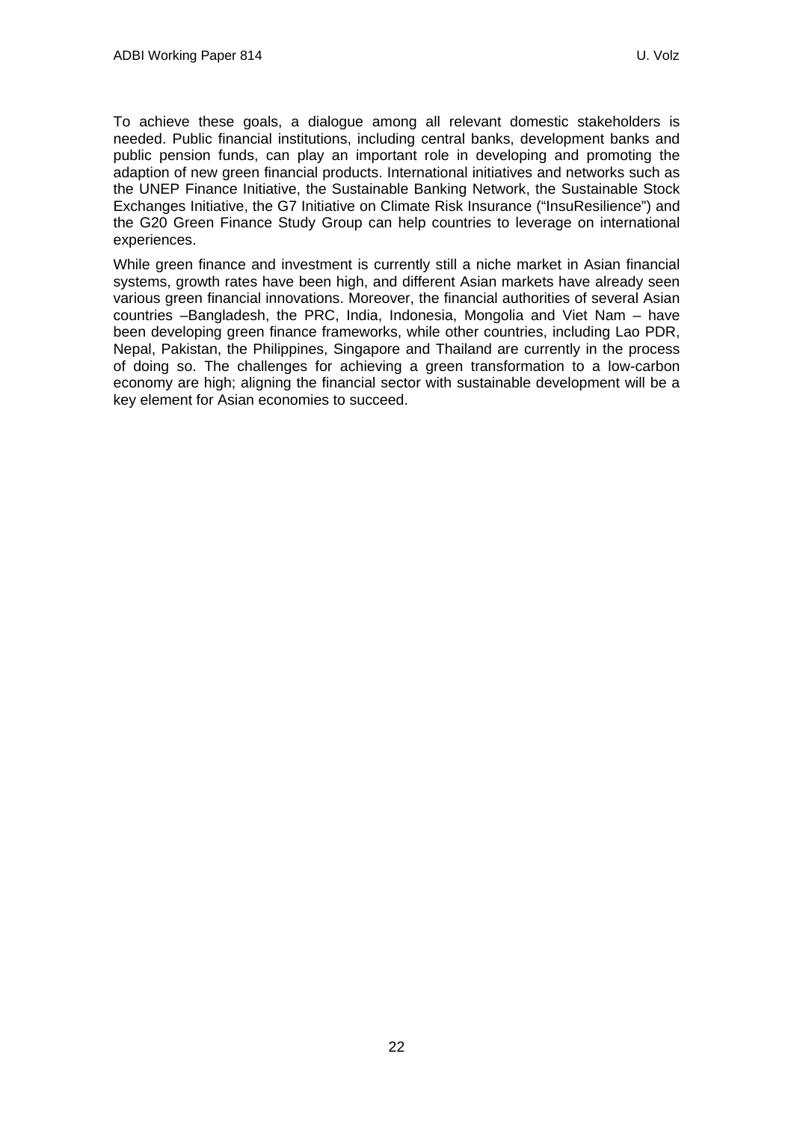To achieve these goals, a dialogue among all relevant domestic stakeholders is needed. Public financial institutions, including central banks, development banks and public pension funds, can play an important role in developing and promoting the adaption of new green financial products. International initiatives and networks such as the UNEP Finance Initiative, the Sustainable Banking Network, the Sustainable Stock Exchanges Initiative, the G7 Initiative on Climate Risk Insurance ("InsuResilience") and the G20 Green Finance Study Group can help countries to leverage on international experiences.

While green finance and investment is currently still a niche market in Asian financial systems, growth rates have been high, and different Asian markets have already seen various green financial innovations. Moreover, the financial authorities of several Asian countries –Bangladesh, the PRC, India, Indonesia, Mongolia and Viet Nam – have been developing green finance frameworks, while other countries, including Lao PDR, Nepal, Pakistan, the Philippines, Singapore and Thailand are currently in the process of doing so. The challenges for achieving a green transformation to a low-carbon economy are high; aligning the financial sector with sustainable development will be a key element for Asian economies to succeed.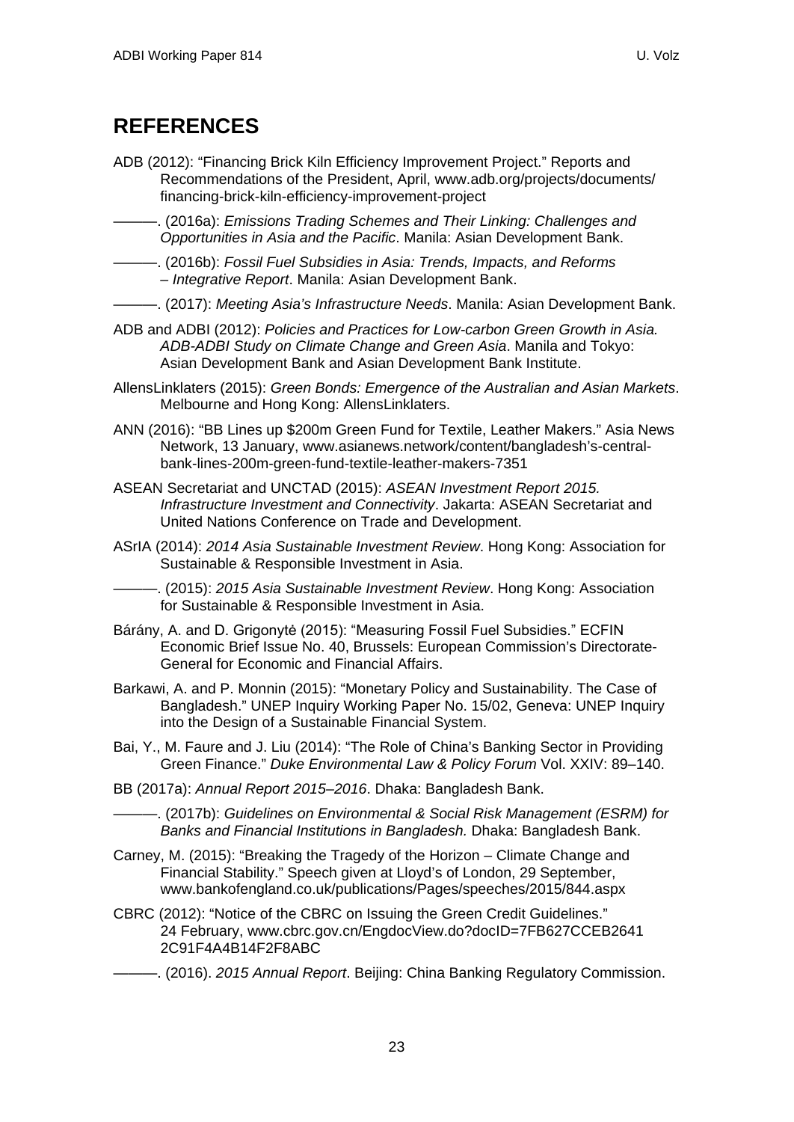### <span id="page-27-0"></span>**REFERENCES**

- ADB (2012): "Financing Brick Kiln Efficiency Improvement Project." Reports and Recommendations of the President, April, www.adb.org/projects/documents/ financing-brick-kiln-efficiency-improvement-project
- ———. (2016a): *Emissions Trading Schemes and Their Linking: Challenges and Opportunities in Asia and the Pacific*. Manila: Asian Development Bank.
- ———. (2016b): *Fossil Fuel Subsidies in Asia: Trends, Impacts, and Reforms – Integrative Report*. Manila: Asian Development Bank.
- ———. (2017): *Meeting Asia's Infrastructure Needs*. Manila: Asian Development Bank.
- ADB and ADBI (2012): *Policies and Practices for Low-carbon Green Growth in Asia. ADB-ADBI Study on Climate Change and Green Asia*. Manila and Tokyo: Asian Development Bank and Asian Development Bank Institute.
- AllensLinklaters (2015): *Green Bonds: Emergence of the Australian and Asian Markets*. Melbourne and Hong Kong: AllensLinklaters.
- ANN (2016): "BB Lines up \$200m Green Fund for Textile, Leather Makers." Asia News Network, 13 January, www.asianews.network/content/bangladesh's-centralbank-lines-200m-green-fund-textile-leather-makers-7351
- ASEAN Secretariat and UNCTAD (2015): *ASEAN Investment Report 2015. Infrastructure Investment and Connectivity*. Jakarta: ASEAN Secretariat and United Nations Conference on Trade and Development.
- ASrIA (2014): *2014 Asia Sustainable Investment Review*. Hong Kong: Association for Sustainable & Responsible Investment in Asia.
	- ———. (2015): *2015 Asia Sustainable Investment Review*. Hong Kong: Association for Sustainable & Responsible Investment in Asia.
- Bárány, A. and D. Grigonytė (2015): "Measuring Fossil Fuel Subsidies." ECFIN Economic Brief Issue No. 40, Brussels: European Commission's Directorate-General for Economic and Financial Affairs.
- Barkawi, A. and P. Monnin (2015): "Monetary Policy and Sustainability. The Case of Bangladesh." UNEP Inquiry Working Paper No. 15/02, Geneva: UNEP Inquiry into the Design of a Sustainable Financial System.
- Bai, Y., M. Faure and J. Liu (2014): "The Role of China's Banking Sector in Providing Green Finance." *Duke Environmental Law & Policy Forum* Vol. XXIV: 89–140.
- BB (2017a): *Annual Report 2015–2016*. Dhaka: Bangladesh Bank.
	- ———. (2017b): *Guidelines on Environmental & Social Risk Management (ESRM) for Banks and Financial Institutions in Bangladesh.* Dhaka: Bangladesh Bank.
- Carney, M. (2015): "Breaking the Tragedy of the Horizon Climate Change and Financial Stability." Speech given at Lloyd's of London, 29 September, www.bankofengland.co.uk/publications/Pages/speeches/2015/844.aspx
- CBRC (2012): "Notice of the CBRC on Issuing the Green Credit Guidelines." 24 February, www.cbrc.gov.cn/EngdocView.do?docID=7FB627CCEB2641 2C91F4A4B14F2F8ABC
- ———. (2016). *2015 Annual Report*. Beijing: China Banking Regulatory Commission.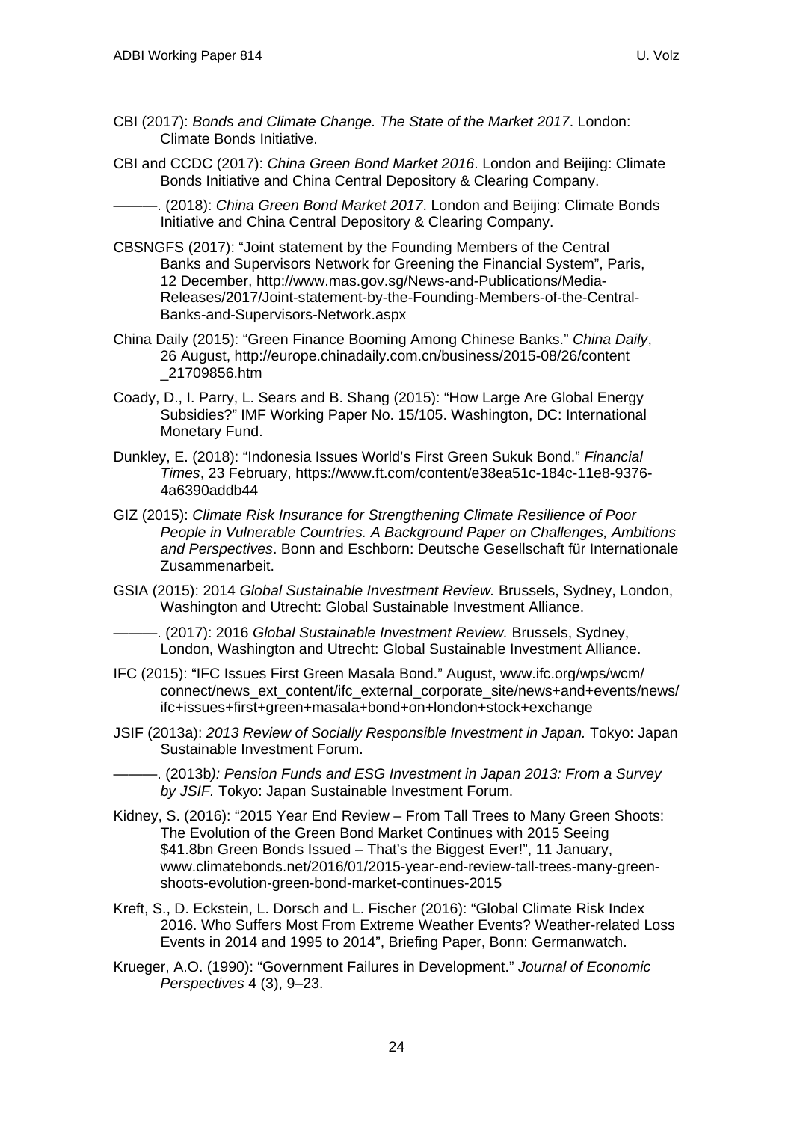- CBI (2017): *Bonds and Climate Change. The State of the Market 2017*. London: Climate Bonds Initiative.
- CBI and CCDC (2017): *China Green Bond Market 2016*. London and Beijing: Climate Bonds Initiative and China Central Depository & Clearing Company.

———. (2018): *China Green Bond Market 2017*. London and Beijing: Climate Bonds Initiative and China Central Depository & Clearing Company.

- CBSNGFS (2017): "Joint statement by the Founding Members of the Central Banks and Supervisors Network for Greening the Financial System", Paris, 12 December, http://www.mas.gov.sg/News-and-Publications/Media-Releases/2017/Joint-statement-by-the-Founding-Members-of-the-Central-Banks-and-Supervisors-Network.aspx
- China Daily (2015): "Green Finance Booming Among Chinese Banks." *China Daily*, 26 August, http://europe.chinadaily.com.cn/business/2015-08/26/content \_21709856.htm
- Coady, D., I. Parry, L. Sears and B. Shang (2015): "How Large Are Global Energy Subsidies?" IMF Working Paper No. 15/105. Washington, DC: International Monetary Fund.
- Dunkley, E. (2018): "Indonesia Issues World's First Green Sukuk Bond." *Financial Times*, 23 February, https://www.ft.com/content/e38ea51c-184c-11e8-9376- 4a6390addb44
- GIZ (2015): *Climate Risk Insurance for Strengthening Climate Resilience of Poor People in Vulnerable Countries. A Background Paper on Challenges, Ambitions and Perspectives*. Bonn and Eschborn: Deutsche Gesellschaft für Internationale Zusammenarbeit.
- GSIA (2015): 2014 *Global Sustainable Investment Review.* Brussels, Sydney, London, Washington and Utrecht: Global Sustainable Investment Alliance.
	- ———. (2017): 2016 *Global Sustainable Investment Review.* Brussels, Sydney, London, Washington and Utrecht: Global Sustainable Investment Alliance.
- IFC (2015): "IFC Issues First Green Masala Bond." August, www.ifc.org/wps/wcm/ connect/news\_ext\_content/ifc\_external\_corporate\_site/news+and+events/news/ ifc+issues+first+green+masala+bond+on+london+stock+exchange
- JSIF (2013a): *2013 Review of Socially Responsible Investment in Japan.* Tokyo: Japan Sustainable Investment Forum.
	- ———. (2013b*): Pension Funds and ESG Investment in Japan 2013: From a Survey by JSIF.* Tokyo: Japan Sustainable Investment Forum.
- Kidney, S. (2016): "2015 Year End Review From Tall Trees to Many Green Shoots: The Evolution of the Green Bond Market Continues with 2015 Seeing \$41.8bn Green Bonds Issued – That's the Biggest Ever!", 11 January, www.climatebonds.net/2016/01/2015-year-end-review-tall-trees-many-greenshoots-evolution-green-bond-market-continues-2015
- Kreft, S., D. Eckstein, L. Dorsch and L. Fischer (2016): "Global Climate Risk Index 2016. Who Suffers Most From Extreme Weather Events? Weather-related Loss Events in 2014 and 1995 to 2014", Briefing Paper, Bonn: Germanwatch.
- Krueger, A.O. (1990): "Government Failures in Development." *Journal of Economic Perspectives* 4 (3), 9–23.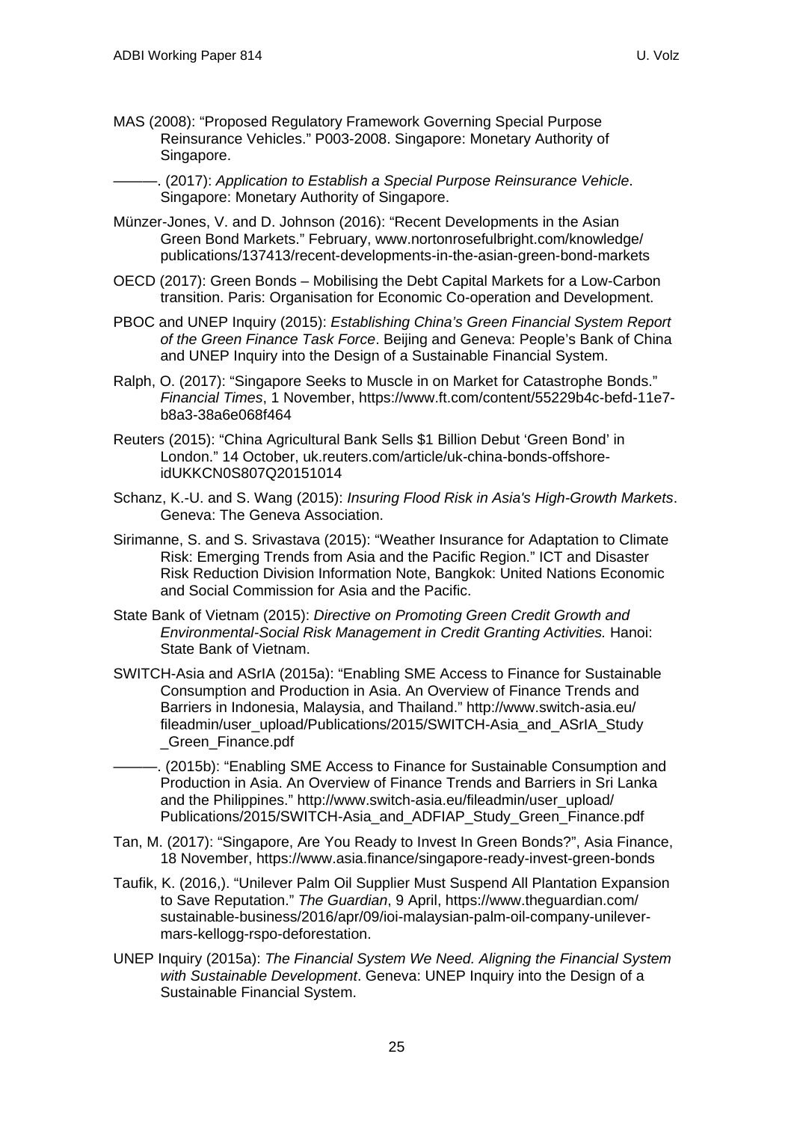MAS (2008): "Proposed Regulatory Framework Governing Special Purpose Reinsurance Vehicles." P003-2008. Singapore: Monetary Authority of Singapore.

———. (2017): *Application to Establish a Special Purpose Reinsurance Vehicle*. Singapore: Monetary Authority of Singapore.

- Münzer-Jones, V. and D. Johnson (2016): "Recent Developments in the Asian Green Bond Markets." February, www.nortonrosefulbright.com/knowledge/ publications/137413/recent-developments-in-the-asian-green-bond-markets
- OECD (2017): Green Bonds Mobilising the Debt Capital Markets for a Low-Carbon transition. Paris: Organisation for Economic Co-operation and Development.
- PBOC and UNEP Inquiry (2015): *Establishing China's Green Financial System Report of the Green Finance Task Force*. Beijing and Geneva: People's Bank of China and UNEP Inquiry into the Design of a Sustainable Financial System.
- Ralph, O. (2017): "Singapore Seeks to Muscle in on Market for Catastrophe Bonds." *Financial Times*, 1 November, https://www.ft.com/content/55229b4c-befd-11e7 b8a3-38a6e068f464
- Reuters (2015): "China Agricultural Bank Sells \$1 Billion Debut 'Green Bond' in London." 14 October, uk.reuters.com/article/uk-china-bonds-offshoreidUKKCN0S807Q20151014
- Schanz, K.-U. and S. Wang (2015): *Insuring Flood Risk in Asia's High-Growth Markets*. Geneva: The Geneva Association.
- Sirimanne, S. and S. Srivastava (2015): "Weather Insurance for Adaptation to Climate Risk: Emerging Trends from Asia and the Pacific Region." ICT and Disaster Risk Reduction Division Information Note, Bangkok: United Nations Economic and Social Commission for Asia and the Pacific.
- State Bank of Vietnam (2015): *Directive on Promoting Green Credit Growth and Environmental-Social Risk Management in Credit Granting Activities.* Hanoi: State Bank of Vietnam.
- SWITCH-Asia and ASrIA (2015a): "Enabling SME Access to Finance for Sustainable Consumption and Production in Asia. An Overview of Finance Trends and Barriers in Indonesia, Malaysia, and Thailand." http://www.switch-asia.eu/ fileadmin/user\_upload/Publications/2015/SWITCH-Asia\_and\_ASrIA\_Study \_Green\_Finance.pdf
- -, (2015b): "Enabling SME Access to Finance for Sustainable Consumption and Production in Asia. An Overview of Finance Trends and Barriers in Sri Lanka and the Philippines." http://www.switch-asia.eu/fileadmin/user\_upload/ Publications/2015/SWITCH-Asia\_and\_ADFIAP\_Study\_Green\_Finance.pdf
- Tan, M. (2017): "Singapore, Are You Ready to Invest In Green Bonds?", Asia Finance, 18 November, https://www.asia.finance/singapore-ready-invest-green-bonds
- Taufik, K. (2016,). "Unilever Palm Oil Supplier Must Suspend All Plantation Expansion to Save Reputation." *The Guardian*, 9 April, https://www.theguardian.com/ sustainable-business/2016/apr/09/ioi-malaysian-palm-oil-company-unilevermars-kellogg-rspo-deforestation.
- UNEP Inquiry (2015a): *The Financial System We Need. Aligning the Financial System with Sustainable Development*. Geneva: UNEP Inquiry into the Design of a Sustainable Financial System.